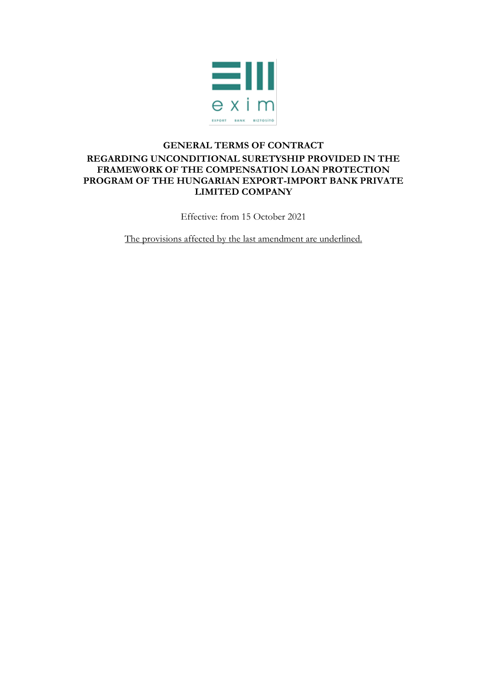

## **GENERAL TERMS OF CONTRACT REGARDING UNCONDITIONAL SURETYSHIP PROVIDED IN THE FRAMEWORK OF THE COMPENSATION LOAN PROTECTION PROGRAM OF THE HUNGARIAN EXPORT-IMPORT BANK PRIVATE LIMITED COMPANY**

Effective: from 15 October 2021

The provisions affected by the last amendment are underlined.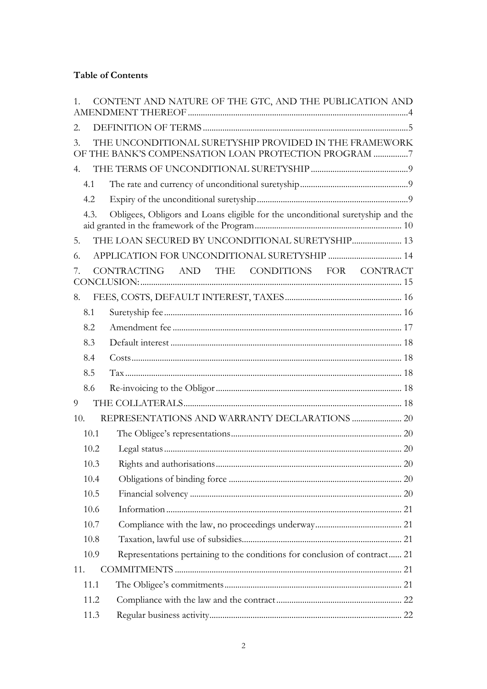## **Table of Contents**

| 1.            | CONTENT AND NATURE OF THE GTC, AND THE PUBLICATION AND                                                         |  |
|---------------|----------------------------------------------------------------------------------------------------------------|--|
| 2.            |                                                                                                                |  |
| $\mathcal{E}$ | THE UNCONDITIONAL SURETYSHIP PROVIDED IN THE FRAMEWORK<br>OF THE BANK'S COMPENSATION LOAN PROTECTION PROGRAM 7 |  |
| 4.            |                                                                                                                |  |
| 4.1           |                                                                                                                |  |
| 4.2           |                                                                                                                |  |
| 4.3.          | Obligees, Obligors and Loans eligible for the unconditional suretyship and the                                 |  |
| 5.            | THE LOAN SECURED BY UNCONDITIONAL SURETYSHIP 13                                                                |  |
| 6.            |                                                                                                                |  |
| 7.            | CONTRACTING AND THE CONDITIONS FOR CONTRACT                                                                    |  |
| 8.            |                                                                                                                |  |
| 8.1           |                                                                                                                |  |
| 8.2           |                                                                                                                |  |
| 8.3           |                                                                                                                |  |
| 8.4           |                                                                                                                |  |
| 8.5           |                                                                                                                |  |
| 8.6           |                                                                                                                |  |
| 9             |                                                                                                                |  |
| 10.           |                                                                                                                |  |
| 10.1          |                                                                                                                |  |
| 10.2          |                                                                                                                |  |
| 10.3          |                                                                                                                |  |
| 10.4          |                                                                                                                |  |
| 10.5          |                                                                                                                |  |
| 10.6          |                                                                                                                |  |
| 10.7          |                                                                                                                |  |
| 10.8          |                                                                                                                |  |
| 10.9          | Representations pertaining to the conditions for conclusion of contract 21                                     |  |
| 11.           |                                                                                                                |  |
| 11.1          |                                                                                                                |  |
| 11.2          |                                                                                                                |  |
| 11.3          |                                                                                                                |  |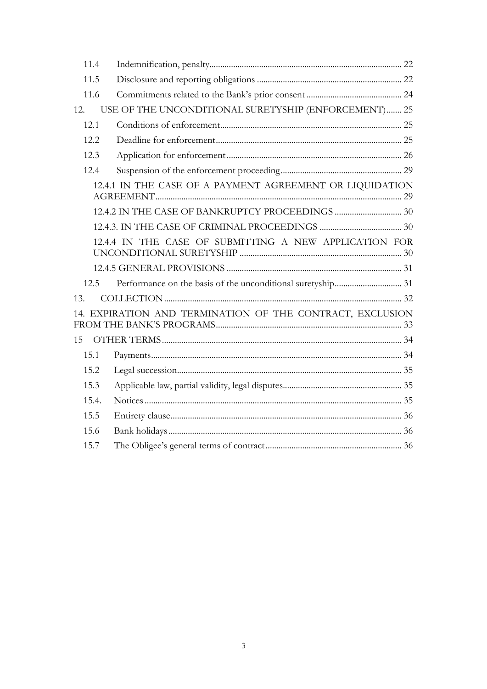<span id="page-2-0"></span>

| 11.4                                                      |                                                      |  |
|-----------------------------------------------------------|------------------------------------------------------|--|
| 11.5                                                      |                                                      |  |
| 11.6                                                      |                                                      |  |
| 12.                                                       | USE OF THE UNCONDITIONAL SURETYSHIP (ENFORCEMENT) 25 |  |
| 12.1                                                      |                                                      |  |
| 12.2.                                                     |                                                      |  |
| 12.3                                                      |                                                      |  |
| 12.4                                                      |                                                      |  |
| 12.4.1 IN THE CASE OF A PAYMENT AGREEMENT OR LIQUIDATION  |                                                      |  |
|                                                           |                                                      |  |
|                                                           |                                                      |  |
| 12.4.4 IN THE CASE OF SUBMITTING A NEW APPLICATION FOR    |                                                      |  |
|                                                           |                                                      |  |
| 12.5                                                      |                                                      |  |
| 13.                                                       |                                                      |  |
| 14. EXPIRATION AND TERMINATION OF THE CONTRACT, EXCLUSION |                                                      |  |
| 15                                                        |                                                      |  |
| 15.1                                                      |                                                      |  |
| 15.2                                                      |                                                      |  |
| 15.3                                                      |                                                      |  |
| 15.4.                                                     |                                                      |  |
| 15.5                                                      |                                                      |  |
| 15.6                                                      |                                                      |  |
| 15.7                                                      |                                                      |  |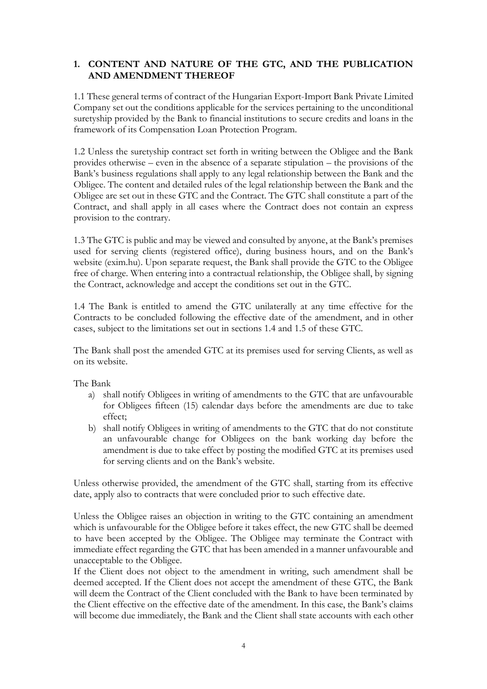## **1. CONTENT AND NATURE OF THE GTC, AND THE PUBLICATION AND AMENDMENT THEREOF**

1.1 These general terms of contract of the Hungarian Export-Import Bank Private Limited Company set out the conditions applicable for the services pertaining to the unconditional suretyship provided by the Bank to financial institutions to secure credits and loans in the framework of its Compensation Loan Protection Program.

1.2 Unless the suretyship contract set forth in writing between the Obligee and the Bank provides otherwise – even in the absence of a separate stipulation – the provisions of the Bank's business regulations shall apply to any legal relationship between the Bank and the Obligee. The content and detailed rules of the legal relationship between the Bank and the Obligee are set out in these GTC and the Contract. The GTC shall constitute a part of the Contract, and shall apply in all cases where the Contract does not contain an express provision to the contrary.

1.3 The GTC is public and may be viewed and consulted by anyone, at the Bank's premises used for serving clients (registered office), during business hours, and on the Bank's website (exim.hu). Upon separate request, the Bank shall provide the GTC to the Obligee free of charge. When entering into a contractual relationship, the Obligee shall, by signing the Contract, acknowledge and accept the conditions set out in the GTC.

1.4 The Bank is entitled to amend the GTC unilaterally at any time effective for the Contracts to be concluded following the effective date of the amendment, and in other cases, subject to the limitations set out in sections 1.4 and 1.5 of these GTC.

The Bank shall post the amended GTC at its premises used for serving Clients, as well as on its website.

The Bank

- a) shall notify Obligees in writing of amendments to the GTC that are unfavourable for Obligees fifteen (15) calendar days before the amendments are due to take effect;
- b) shall notify Obligees in writing of amendments to the GTC that do not constitute an unfavourable change for Obligees on the bank working day before the amendment is due to take effect by posting the modified GTC at its premises used for serving clients and on the Bank's website.

Unless otherwise provided, the amendment of the GTC shall, starting from its effective date, apply also to contracts that were concluded prior to such effective date.

Unless the Obligee raises an objection in writing to the GTC containing an amendment which is unfavourable for the Obligee before it takes effect, the new GTC shall be deemed to have been accepted by the Obligee. The Obligee may terminate the Contract with immediate effect regarding the GTC that has been amended in a manner unfavourable and unacceptable to the Obligee.

If the Client does not object to the amendment in writing, such amendment shall be deemed accepted. If the Client does not accept the amendment of these GTC, the Bank will deem the Contract of the Client concluded with the Bank to have been terminated by the Client effective on the effective date of the amendment. In this case, the Bank's claims will become due immediately, the Bank and the Client shall state accounts with each other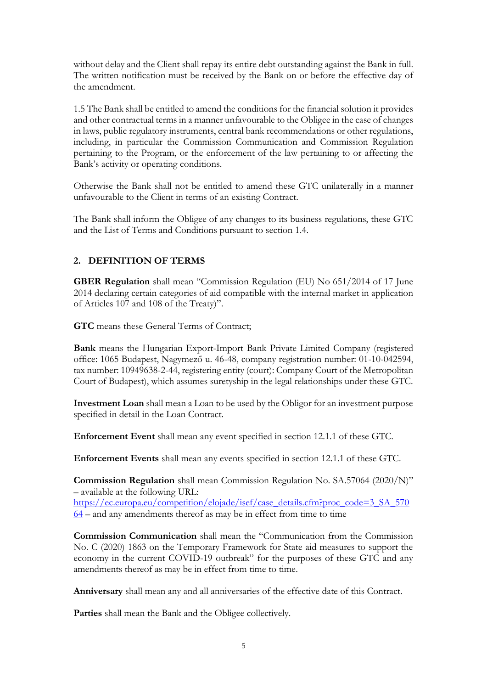without delay and the Client shall repay its entire debt outstanding against the Bank in full. The written notification must be received by the Bank on or before the effective day of the amendment.

1.5 The Bank shall be entitled to amend the conditions for the financial solution it provides and other contractual terms in a manner unfavourable to the Obligee in the case of changes in laws, public regulatory instruments, central bank recommendations or other regulations, including, in particular the Commission Communication and Commission Regulation pertaining to the Program, or the enforcement of the law pertaining to or affecting the Bank's activity or operating conditions.

Otherwise the Bank shall not be entitled to amend these GTC unilaterally in a manner unfavourable to the Client in terms of an existing Contract.

The Bank shall inform the Obligee of any changes to its business regulations, these GTC and the List of Terms and Conditions pursuant to section 1.4.

### <span id="page-4-0"></span>**2. DEFINITION OF TERMS**

**GBER Regulation** shall mean "Commission Regulation (EU) No 651/2014 of 17 June 2014 declaring certain categories of aid compatible with the internal market in application of Articles 107 and 108 of the Treaty)".

**GTC** means these General Terms of Contract;

**Bank** means the Hungarian Export-Import Bank Private Limited Company (registered office: 1065 Budapest, Nagymező u. 46-48, company registration number: 01-10-042594, tax number: 10949638-2-44, registering entity (court): Company Court of the Metropolitan Court of Budapest), which assumes suretyship in the legal relationships under these GTC.

**Investment Loan** shall mean a Loan to be used by the Obligor for an investment purpose specified in detail in the Loan Contract.

**Enforcement Event** shall mean any event specified in section 12.1.1 of these GTC.

**Enforcement Events** shall mean any events specified in section 12.1.1 of these GTC.

**Commission Regulation** shall mean Commission Regulation No. SA.57064 (2020/N)" – available at the following URL: [https://ec.europa.eu/competition/elojade/isef/case\\_details.cfm?proc\\_code=3\\_SA\\_570](https://ec.europa.eu/competition/elojade/isef/case_details.cfm?proc_code=3_SA_57064)  $64$  – and any amendments thereof as may be in effect from time to time

**Commission Communication** shall mean the "Communication from the Commission No. C (2020) 1863 on the Temporary Framework for State aid measures to support the economy in the current COVID-19 outbreak" for the purposes of these GTC and any amendments thereof as may be in effect from time to time.

**Anniversary** shall mean any and all anniversaries of the effective date of this Contract.

**Parties** shall mean the Bank and the Obligee collectively.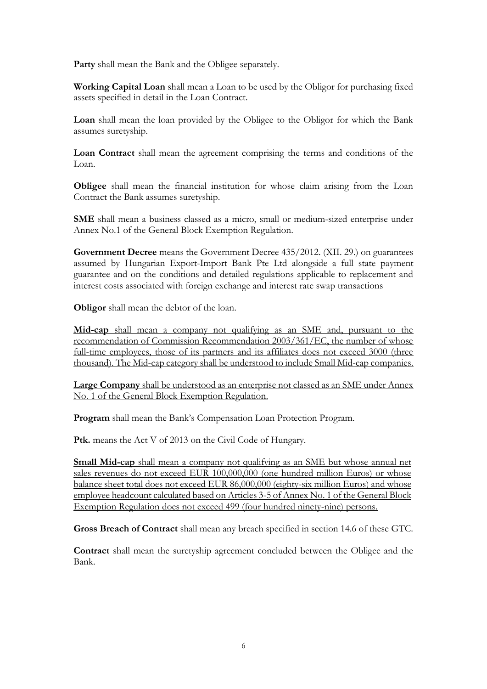**Party** shall mean the Bank and the Obligee separately.

**Working Capital Loan** shall mean a Loan to be used by the Obligor for purchasing fixed assets specified in detail in the Loan Contract.

**Loan** shall mean the loan provided by the Obligee to the Obligor for which the Bank assumes suretyship.

**Loan Contract** shall mean the agreement comprising the terms and conditions of the Loan.

**Obligee** shall mean the financial institution for whose claim arising from the Loan Contract the Bank assumes suretyship.

**SME** shall mean a business classed as a micro, small or medium-sized enterprise under Annex No.1 of the General Block Exemption Regulation.

**Government Decree** means the Government Decree 435/2012. (XII. 29.) on guarantees assumed by Hungarian Export-Import Bank Pte Ltd alongside a full state payment guarantee and on the conditions and detailed regulations applicable to replacement and interest costs associated with foreign exchange and interest rate swap transactions

**Obligor** shall mean the debtor of the loan.

**Mid-cap** shall mean a company not qualifying as an SME and, pursuant to the recommendation of Commission Recommendation 2003/361/EC, the number of whose full-time employees, those of its partners and its affiliates does not exceed 3000 (three thousand). The Mid-cap category shall be understood to include Small Mid-cap companies.

**Large Company** shall be understood as an enterprise not classed as an SME under Annex No. 1 of the General Block Exemption Regulation.

**Program** shall mean the Bank's Compensation Loan Protection Program.

**Ptk.** means the Act V of 2013 on the Civil Code of Hungary.

**Small Mid-cap** shall mean a company not qualifying as an SME but whose annual net sales revenues do not exceed EUR 100,000,000 (one hundred million Euros) or whose balance sheet total does not exceed EUR 86,000,000 (eighty-six million Euros) and whose employee headcount calculated based on Articles 3-5 of Annex No. 1 of the General Block Exemption Regulation does not exceed 499 (four hundred ninety-nine) persons.

**Gross Breach of Contract** shall mean any breach specified in section 14.6 of these GTC.

**Contract** shall mean the suretyship agreement concluded between the Obligee and the Bank.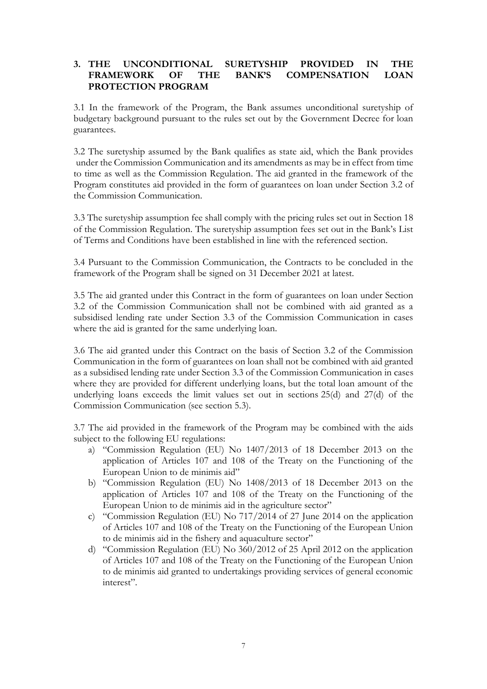### <span id="page-6-0"></span>**3. THE UNCONDITIONAL SURETYSHIP PROVIDED IN THE FRAMEWORK OF THE BANK'S COMPENSATION LOAN PROTECTION PROGRAM**

3.1 In the framework of the Program, the Bank assumes unconditional suretyship of budgetary background pursuant to the rules set out by the Government Decree for loan guarantees.

3.2 The suretyship assumed by the Bank qualifies as state aid, which the Bank provides under the Commission Communication and its amendments as may be in effect from time to time as well as the Commission Regulation. The aid granted in the framework of the Program constitutes aid provided in the form of guarantees on loan under Section 3.2 of the Commission Communication.

3.3 The suretyship assumption fee shall comply with the pricing rules set out in Section 18 of the Commission Regulation. The suretyship assumption fees set out in the Bank's List of Terms and Conditions have been established in line with the referenced section.

3.4 Pursuant to the Commission Communication, the Contracts to be concluded in the framework of the Program shall be signed on 31 December 2021 at latest.

3.5 The aid granted under this Contract in the form of guarantees on loan under Section 3.2 of the Commission Communication shall not be combined with aid granted as a subsidised lending rate under Section 3.3 of the Commission Communication in cases where the aid is granted for the same underlying loan.

3.6 The aid granted under this Contract on the basis of Section 3.2 of the Commission Communication in the form of guarantees on loan shall not be combined with aid granted as a subsidised lending rate under Section 3.3 of the Commission Communication in cases where they are provided for different underlying loans, but the total loan amount of the underlying loans exceeds the limit values set out in sections 25(d) and 27(d) of the Commission Communication (see section 5.3).

3.7 The aid provided in the framework of the Program may be combined with the aids subject to the following EU regulations:

- a) "Commission Regulation (EU) No 1407/2013 of 18 December 2013 on the application of Articles 107 and 108 of the Treaty on the Functioning of the European Union to de minimis aid"
- b) "Commission Regulation (EU) No 1408/2013 of 18 December 2013 on the application of Articles 107 and 108 of the Treaty on the Functioning of the European Union to de minimis aid in the agriculture sector"
- c) "Commission Regulation (EU) No 717/2014 of 27 June 2014 on the application of Articles 107 and 108 of the Treaty on the Functioning of the European Union to de minimis aid in the fishery and aquaculture sector"
- d) "Commission Regulation (EU) No 360/2012 of 25 April 2012 on the application of Articles 107 and 108 of the Treaty on the Functioning of the European Union to de minimis aid granted to undertakings providing services of general economic interest".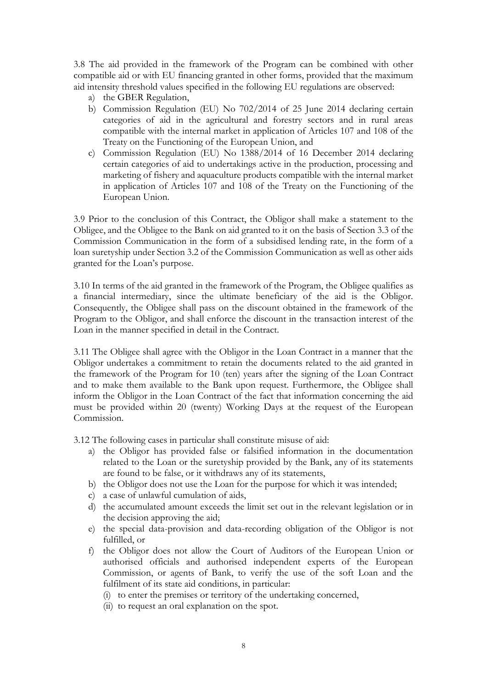3.8 The aid provided in the framework of the Program can be combined with other compatible aid or with EU financing granted in other forms, provided that the maximum aid intensity threshold values specified in the following EU regulations are observed:

- a) the GBER Regulation,
- b) Commission Regulation (EU) No 702/2014 of 25 June 2014 declaring certain categories of aid in the agricultural and forestry sectors and in rural areas compatible with the internal market in application of Articles 107 and 108 of the Treaty on the Functioning of the European Union, and
- c) Commission Regulation (EU) No 1388/2014 of 16 December 2014 declaring certain categories of aid to undertakings active in the production, processing and marketing of fishery and aquaculture products compatible with the internal market in application of Articles 107 and 108 of the Treaty on the Functioning of the European Union.

3.9 Prior to the conclusion of this Contract, the Obligor shall make a statement to the Obligee, and the Obligee to the Bank on aid granted to it on the basis of Section 3.3 of the Commission Communication in the form of a subsidised lending rate, in the form of a loan suretyship under Section 3.2 of the Commission Communication as well as other aids granted for the Loan's purpose.

3.10 In terms of the aid granted in the framework of the Program, the Obligee qualifies as a financial intermediary, since the ultimate beneficiary of the aid is the Obligor. Consequently, the Obligee shall pass on the discount obtained in the framework of the Program to the Obligor, and shall enforce the discount in the transaction interest of the Loan in the manner specified in detail in the Contract.

3.11 The Obligee shall agree with the Obligor in the Loan Contract in a manner that the Obligor undertakes a commitment to retain the documents related to the aid granted in the framework of the Program for 10 (ten) years after the signing of the Loan Contract and to make them available to the Bank upon request. Furthermore, the Obligee shall inform the Obligor in the Loan Contract of the fact that information concerning the aid must be provided within 20 (twenty) Working Days at the request of the European Commission.

3.12 The following cases in particular shall constitute misuse of aid:

- a) the Obligor has provided false or falsified information in the documentation related to the Loan or the suretyship provided by the Bank, any of its statements are found to be false, or it withdraws any of its statements,
- b) the Obligor does not use the Loan for the purpose for which it was intended;
- c) a case of unlawful cumulation of aids,
- d) the accumulated amount exceeds the limit set out in the relevant legislation or in the decision approving the aid;
- e) the special data-provision and data-recording obligation of the Obligor is not fulfilled, or
- f) the Obligor does not allow the Court of Auditors of the European Union or authorised officials and authorised independent experts of the European Commission, or agents of Bank, to verify the use of the soft Loan and the fulfilment of its state aid conditions, in particular:
	- (i) to enter the premises or territory of the undertaking concerned,
	- (ii) to request an oral explanation on the spot.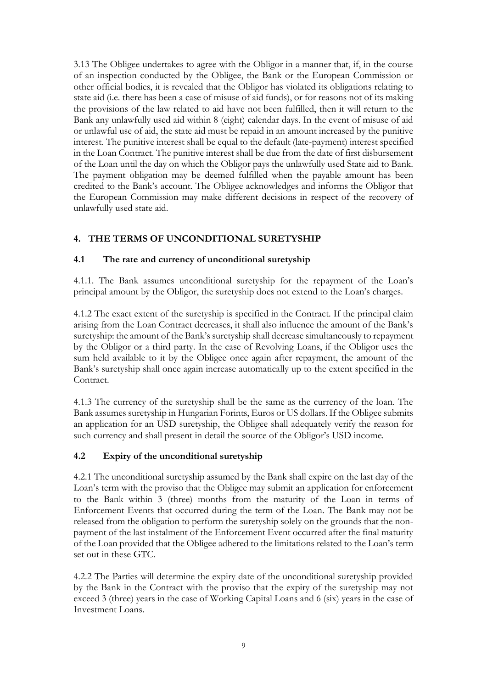3.13 The Obligee undertakes to agree with the Obligor in a manner that, if, in the course of an inspection conducted by the Obligee, the Bank or the European Commission or other official bodies, it is revealed that the Obligor has violated its obligations relating to state aid (i.e. there has been a case of misuse of aid funds), or for reasons not of its making the provisions of the law related to aid have not been fulfilled, then it will return to the Bank any unlawfully used aid within 8 (eight) calendar days. In the event of misuse of aid or unlawful use of aid, the state aid must be repaid in an amount increased by the punitive interest. The punitive interest shall be equal to the default (late-payment) interest specified in the Loan Contract. The punitive interest shall be due from the date of first disbursement of the Loan until the day on which the Obligor pays the unlawfully used State aid to Bank. The payment obligation may be deemed fulfilled when the payable amount has been credited to the Bank's account. The Obligee acknowledges and informs the Obligor that the European Commission may make different decisions in respect of the recovery of unlawfully used state aid.

# <span id="page-8-0"></span>**4. THE TERMS OF UNCONDITIONAL SURETYSHIP**

### <span id="page-8-1"></span>**4.1 The rate and currency of unconditional suretyship**

4.1.1. The Bank assumes unconditional suretyship for the repayment of the Loan's principal amount by the Obligor, the suretyship does not extend to the Loan's charges.

4.1.2 The exact extent of the suretyship is specified in the Contract. If the principal claim arising from the Loan Contract decreases, it shall also influence the amount of the Bank's suretyship: the amount of the Bank's suretyship shall decrease simultaneously to repayment by the Obligor or a third party. In the case of Revolving Loans, if the Obligor uses the sum held available to it by the Obligee once again after repayment, the amount of the Bank's suretyship shall once again increase automatically up to the extent specified in the Contract.

4.1.3 The currency of the suretyship shall be the same as the currency of the loan. The Bank assumes suretyship in Hungarian Forints, Euros or US dollars. If the Obligee submits an application for an USD suretyship, the Obligee shall adequately verify the reason for such currency and shall present in detail the source of the Obligor's USD income.

## <span id="page-8-2"></span>**4.2 Expiry of the unconditional suretyship**

4.2.1 The unconditional suretyship assumed by the Bank shall expire on the last day of the Loan's term with the proviso that the Obligee may submit an application for enforcement to the Bank within 3 (three) months from the maturity of the Loan in terms of Enforcement Events that occurred during the term of the Loan. The Bank may not be released from the obligation to perform the suretyship solely on the grounds that the nonpayment of the last instalment of the Enforcement Event occurred after the final maturity of the Loan provided that the Obligee adhered to the limitations related to the Loan's term set out in these GTC.

4.2.2 The Parties will determine the expiry date of the unconditional suretyship provided by the Bank in the Contract with the proviso that the expiry of the suretyship may not exceed 3 (three) years in the case of Working Capital Loans and 6 (six) years in the case of Investment Loans.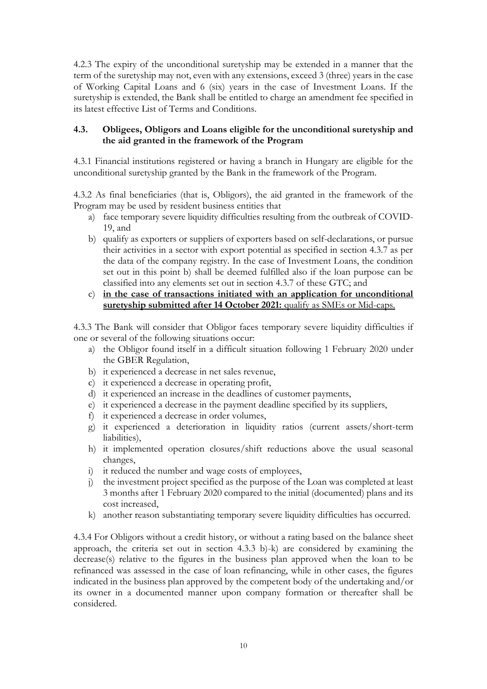4.2.3 The expiry of the unconditional suretyship may be extended in a manner that the term of the suretyship may not, even with any extensions, exceed 3 (three) years in the case of Working Capital Loans and 6 (six) years in the case of Investment Loans. If the suretyship is extended, the Bank shall be entitled to charge an amendment fee specified in its latest effective List of Terms and Conditions.

### <span id="page-9-0"></span>**4.3. Obligees, Obligors and Loans eligible for the unconditional suretyship and the aid granted in the framework of the Program**

4.3.1 Financial institutions registered or having a branch in Hungary are eligible for the unconditional suretyship granted by the Bank in the framework of the Program.

4.3.2 As final beneficiaries (that is, Obligors), the aid granted in the framework of the Program may be used by resident business entities that

- a) face temporary severe liquidity difficulties resulting from the outbreak of COVID-19, and
- b) qualify as exporters or suppliers of exporters based on self-declarations, or pursue their activities in a sector with export potential as specified in section 4.3.7 as per the data of the company registry. In the case of Investment Loans, the condition set out in this point b) shall be deemed fulfilled also if the loan purpose can be classified into any elements set out in section 4.3.7 of these GTC; and
- c) **in the case of transactions initiated with an application for unconditional suretyship submitted after 14 October 2021:** qualify as SMEs or Mid-caps.

4.3.3 The Bank will consider that Obligor faces temporary severe liquidity difficulties if one or several of the following situations occur:

- a) the Obligor found itself in a difficult situation following 1 February 2020 under the GBER Regulation,
- b) it experienced a decrease in net sales revenue,
- c) it experienced a decrease in operating profit,
- d) it experienced an increase in the deadlines of customer payments,
- e) it experienced a decrease in the payment deadline specified by its suppliers,
- f) it experienced a decrease in order volumes,
- g) it experienced a deterioration in liquidity ratios (current assets/short-term liabilities),
- h) it implemented operation closures/shift reductions above the usual seasonal changes,
- i) it reduced the number and wage costs of employees,
- j) the investment project specified as the purpose of the Loan was completed at least 3 months after 1 February 2020 compared to the initial (documented) plans and its cost increased,
- k) another reason substantiating temporary severe liquidity difficulties has occurred.

4.3.4 For Obligors without a credit history, or without a rating based on the balance sheet approach, the criteria set out in section 4.3.3 b)-k) are considered by examining the decrease(s) relative to the figures in the business plan approved when the loan to be refinanced was assessed in the case of loan refinancing, while in other cases, the figures indicated in the business plan approved by the competent body of the undertaking and/or its owner in a documented manner upon company formation or thereafter shall be considered.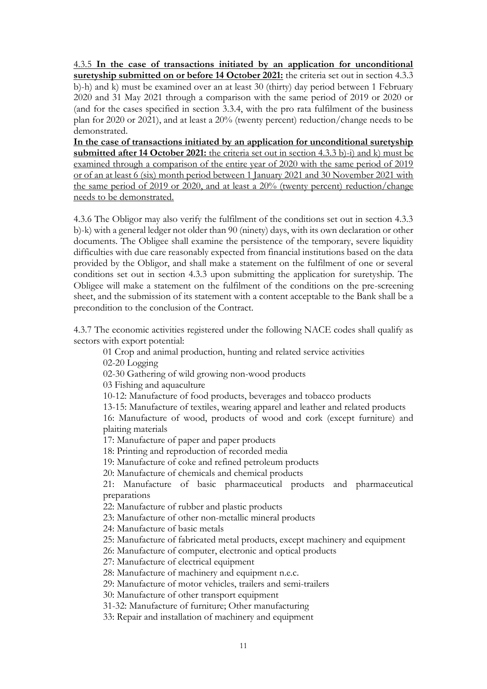4.3.5 **In the case of transactions initiated by an application for unconditional suretyship submitted on or before 14 October 2021:** the criteria set out in section 4.3.3 b)-h) and k) must be examined over an at least 30 (thirty) day period between 1 February 2020 and 31 May 2021 through a comparison with the same period of 2019 or 2020 or (and for the cases specified in section 3.3.4, with the pro rata fulfilment of the business plan for 2020 or 2021), and at least a 20% (twenty percent) reduction/change needs to be demonstrated.

**In the case of transactions initiated by an application for unconditional suretyship submitted after 14 October 2021:** the criteria set out in section 4.3.3 b)-i) and k) must be examined through a comparison of the entire year of 2020 with the same period of 2019 or of an at least 6 (six) month period between 1 January 2021 and 30 November 2021 with the same period of 2019 or 2020, and at least a 20% (twenty percent) reduction/change needs to be demonstrated.

4.3.6 The Obligor may also verify the fulfilment of the conditions set out in section 4.3.3 b)-k) with a general ledger not older than 90 (ninety) days, with its own declaration or other documents. The Obligee shall examine the persistence of the temporary, severe liquidity difficulties with due care reasonably expected from financial institutions based on the data provided by the Obligor, and shall make a statement on the fulfilment of one or several conditions set out in section 4.3.3 upon submitting the application for suretyship. The Obligee will make a statement on the fulfilment of the conditions on the pre-screening sheet, and the submission of its statement with a content acceptable to the Bank shall be a precondition to the conclusion of the Contract.

4.3.7 The economic activities registered under the following NACE codes shall qualify as sectors with export potential:

01 Crop and animal production, hunting and related service activities

02-20 Logging

02-30 Gathering of wild growing non-wood products

03 Fishing and aquaculture

10-12: Manufacture of food products, beverages and tobacco products

13-15: Manufacture of textiles, wearing apparel and leather and related products 16: Manufacture of wood, products of wood and cork (except furniture) and

plaiting materials

17: Manufacture of paper and paper products

18: Printing and reproduction of recorded media

19: Manufacture of coke and refined petroleum products

20: Manufacture of chemicals and chemical products

21: Manufacture of basic pharmaceutical products and pharmaceutical preparations

22: Manufacture of rubber and plastic products

23: Manufacture of other non-metallic mineral products

24: Manufacture of basic metals

25: Manufacture of fabricated metal products, except machinery and equipment

26: Manufacture of computer, electronic and optical products

27: Manufacture of electrical equipment

28: Manufacture of machinery and equipment n.e.c.

29: Manufacture of motor vehicles, trailers and semi-trailers

30: Manufacture of other transport equipment

31-32: Manufacture of furniture; Other manufacturing

33: Repair and installation of machinery and equipment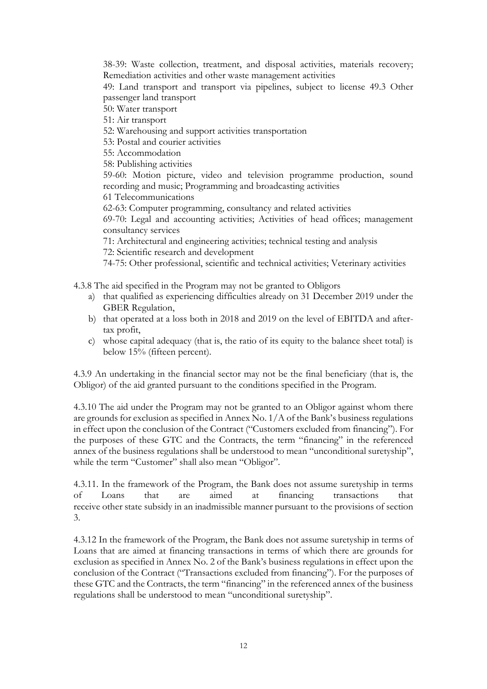38-39: Waste collection, treatment, and disposal activities, materials recovery; Remediation activities and other waste management activities

49: Land transport and transport via pipelines, subject to license 49.3 Other passenger land transport

50: Water transport

51: Air transport

52: Warehousing and support activities transportation

53: Postal and courier activities

55: Accommodation

58: Publishing activities

59-60: Motion picture, video and television programme production, sound recording and music; Programming and broadcasting activities

61 Telecommunications

62-63: Computer programming, consultancy and related activities

69-70: Legal and accounting activities; Activities of head offices; management consultancy services

71: Architectural and engineering activities; technical testing and analysis 72: Scientific research and development

74-75: Other professional, scientific and technical activities; Veterinary activities

4.3.8 The aid specified in the Program may not be granted to Obligors

- a) that qualified as experiencing difficulties already on 31 December 2019 under the GBER Regulation,
- b) that operated at a loss both in 2018 and 2019 on the level of EBITDA and aftertax profit,
- c) whose capital adequacy (that is, the ratio of its equity to the balance sheet total) is below 15% (fifteen percent).

4.3.9 An undertaking in the financial sector may not be the final beneficiary (that is, the Obligor) of the aid granted pursuant to the conditions specified in the Program.

4.3.10 The aid under the Program may not be granted to an Obligor against whom there are grounds for exclusion as specified in Annex No. 1/A of the Bank's business regulations in effect upon the conclusion of the Contract ("Customers excluded from financing"). For the purposes of these GTC and the Contracts, the term "financing" in the referenced annex of the business regulations shall be understood to mean "unconditional suretyship", while the term "Customer" shall also mean "Obligor".

4.3.11. In the framework of the Program, the Bank does not assume suretyship in terms of Loans that are aimed at financing transactions that receive other state subsidy in an inadmissible manner pursuant to the provisions of section 3.

4.3.12 In the framework of the Program, the Bank does not assume suretyship in terms of Loans that are aimed at financing transactions in terms of which there are grounds for exclusion as specified in Annex No. 2 of the Bank's business regulations in effect upon the conclusion of the Contract ("Transactions excluded from financing"). For the purposes of these GTC and the Contracts, the term "financing" in the referenced annex of the business regulations shall be understood to mean "unconditional suretyship".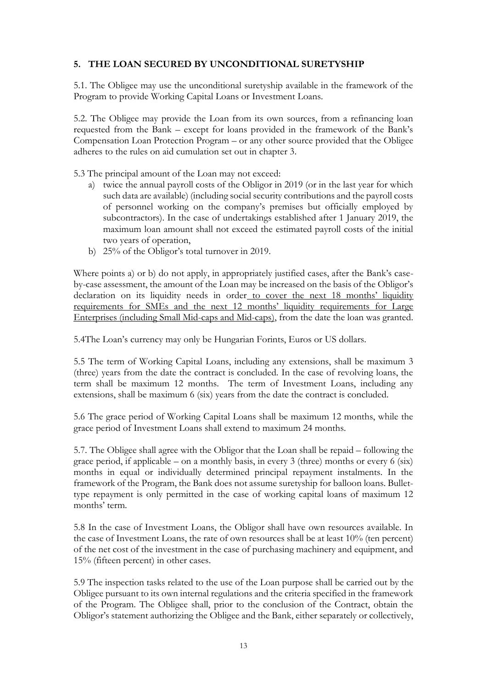### <span id="page-12-0"></span>**5. THE LOAN SECURED BY UNCONDITIONAL SURETYSHIP**

5.1. The Obligee may use the unconditional suretyship available in the framework of the Program to provide Working Capital Loans or Investment Loans.

5.2. The Obligee may provide the Loan from its own sources, from a refinancing loan requested from the Bank – except for loans provided in the framework of the Bank's Compensation Loan Protection Program – or any other source provided that the Obligee adheres to the rules on aid cumulation set out in chapter 3.

5.3 The principal amount of the Loan may not exceed:

- a) twice the annual payroll costs of the Obligor in 2019 (or in the last year for which such data are available) (including social security contributions and the payroll costs of personnel working on the company's premises but officially employed by subcontractors). In the case of undertakings established after 1 January 2019, the maximum loan amount shall not exceed the estimated payroll costs of the initial two years of operation,
- b) 25% of the Obligor's total turnover in 2019.

Where points a) or b) do not apply, in appropriately justified cases, after the Bank's caseby-case assessment, the amount of the Loan may be increased on the basis of the Obligor's declaration on its liquidity needs in order to cover the next 18 months' liquidity requirements for SMEs and the next 12 months' liquidity requirements for Large Enterprises (including Small Mid-caps and Mid-caps), from the date the loan was granted.

5.4The Loan's currency may only be Hungarian Forints, Euros or US dollars.

5.5 The term of Working Capital Loans, including any extensions, shall be maximum 3 (three) years from the date the contract is concluded. In the case of revolving loans, the term shall be maximum 12 months. The term of Investment Loans, including any extensions, shall be maximum 6 (six) years from the date the contract is concluded.

5.6 The grace period of Working Capital Loans shall be maximum 12 months, while the grace period of Investment Loans shall extend to maximum 24 months.

5.7. The Obligee shall agree with the Obligor that the Loan shall be repaid – following the grace period, if applicable – on a monthly basis, in every 3 (three) months or every  $6$  (six) months in equal or individually determined principal repayment instalments. In the framework of the Program, the Bank does not assume suretyship for balloon loans. Bullettype repayment is only permitted in the case of working capital loans of maximum 12 months' term.

5.8 In the case of Investment Loans, the Obligor shall have own resources available. In the case of Investment Loans, the rate of own resources shall be at least 10% (ten percent) of the net cost of the investment in the case of purchasing machinery and equipment, and 15% (fifteen percent) in other cases.

5.9 The inspection tasks related to the use of the Loan purpose shall be carried out by the Obligee pursuant to its own internal regulations and the criteria specified in the framework of the Program. The Obligee shall, prior to the conclusion of the Contract, obtain the Obligor's statement authorizing the Obligee and the Bank, either separately or collectively,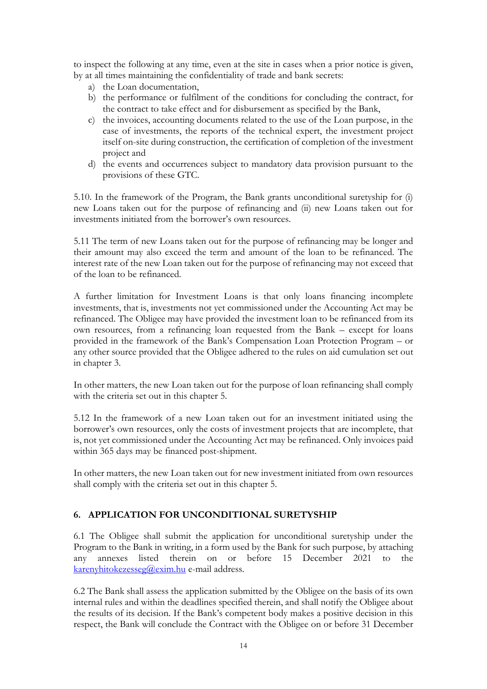to inspect the following at any time, even at the site in cases when a prior notice is given, by at all times maintaining the confidentiality of trade and bank secrets:

- a) the Loan documentation,
- b) the performance or fulfilment of the conditions for concluding the contract, for the contract to take effect and for disbursement as specified by the Bank,
- c) the invoices, accounting documents related to the use of the Loan purpose, in the case of investments, the reports of the technical expert, the investment project itself on-site during construction, the certification of completion of the investment project and
- d) the events and occurrences subject to mandatory data provision pursuant to the provisions of these GTC.

5.10. In the framework of the Program, the Bank grants unconditional suretyship for (i) new Loans taken out for the purpose of refinancing and (ii) new Loans taken out for investments initiated from the borrower's own resources.

5.11 The term of new Loans taken out for the purpose of refinancing may be longer and their amount may also exceed the term and amount of the loan to be refinanced. The interest rate of the new Loan taken out for the purpose of refinancing may not exceed that of the loan to be refinanced.

A further limitation for Investment Loans is that only loans financing incomplete investments, that is, investments not yet commissioned under the Accounting Act may be refinanced. The Obligee may have provided the investment loan to be refinanced from its own resources, from a refinancing loan requested from the Bank – except for loans provided in the framework of the Bank's Compensation Loan Protection Program – or any other source provided that the Obligee adhered to the rules on aid cumulation set out in chapter 3.

In other matters, the new Loan taken out for the purpose of loan refinancing shall comply with the criteria set out in this chapter 5.

5.12 In the framework of a new Loan taken out for an investment initiated using the borrower's own resources, only the costs of investment projects that are incomplete, that is, not yet commissioned under the Accounting Act may be refinanced. Only invoices paid within 365 days may be financed post-shipment.

In other matters, the new Loan taken out for new investment initiated from own resources shall comply with the criteria set out in this chapter 5.

## <span id="page-13-0"></span>**6. APPLICATION FOR UNCONDITIONAL SURETYSHIP**

6.1 The Obligee shall submit the application for unconditional suretyship under the Program to the Bank in writing, in a form used by the Bank for such purpose, by attaching any annexes listed therein on or before 15 December 2021 to the [karenyhitokezesseg@exim.hu](mailto:karenyhitokezesseg@exim.hu) e-mail address.

6.2 The Bank shall assess the application submitted by the Obligee on the basis of its own internal rules and within the deadlines specified therein, and shall notify the Obligee about the results of its decision. If the Bank's competent body makes a positive decision in this respect, the Bank will conclude the Contract with the Obligee on or before 31 December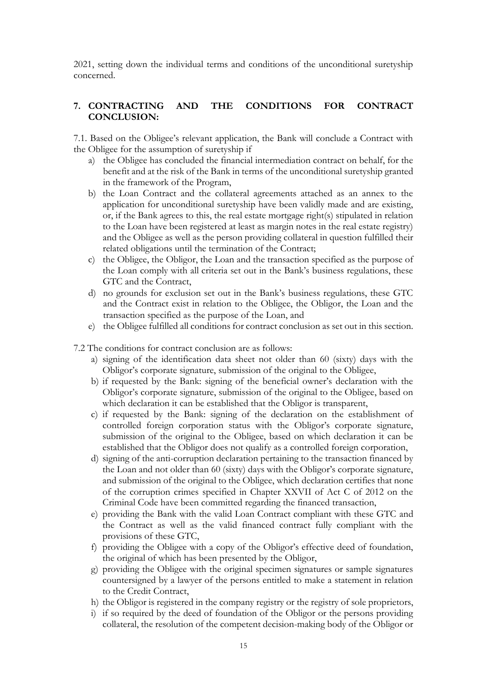2021, setting down the individual terms and conditions of the unconditional suretyship concerned.

### <span id="page-14-0"></span>**7. CONTRACTING AND THE CONDITIONS FOR CONTRACT CONCLUSION:**

7.1. Based on the Obligee's relevant application, the Bank will conclude a Contract with the Obligee for the assumption of suretyship if

- a) the Obligee has concluded the financial intermediation contract on behalf, for the benefit and at the risk of the Bank in terms of the unconditional suretyship granted in the framework of the Program,
- b) the Loan Contract and the collateral agreements attached as an annex to the application for unconditional suretyship have been validly made and are existing, or, if the Bank agrees to this, the real estate mortgage right(s) stipulated in relation to the Loan have been registered at least as margin notes in the real estate registry) and the Obligee as well as the person providing collateral in question fulfilled their related obligations until the termination of the Contract;
- c) the Obligee, the Obligor, the Loan and the transaction specified as the purpose of the Loan comply with all criteria set out in the Bank's business regulations, these GTC and the Contract,
- d) no grounds for exclusion set out in the Bank's business regulations, these GTC and the Contract exist in relation to the Obligee, the Obligor, the Loan and the transaction specified as the purpose of the Loan, and
- e) the Obligee fulfilled all conditions for contract conclusion as set out in this section.
- 7.2 The conditions for contract conclusion are as follows:
	- a) signing of the identification data sheet not older than 60 (sixty) days with the Obligor's corporate signature, submission of the original to the Obligee,
	- b) if requested by the Bank: signing of the beneficial owner's declaration with the Obligor's corporate signature, submission of the original to the Obligee, based on which declaration it can be established that the Obligor is transparent,
	- c) if requested by the Bank: signing of the declaration on the establishment of controlled foreign corporation status with the Obligor's corporate signature, submission of the original to the Obligee, based on which declaration it can be established that the Obligor does not qualify as a controlled foreign corporation,
	- d) signing of the anti-corruption declaration pertaining to the transaction financed by the Loan and not older than 60 (sixty) days with the Obligor's corporate signature, and submission of the original to the Obligee, which declaration certifies that none of the corruption crimes specified in Chapter XXVII of Act C of 2012 on the Criminal Code have been committed regarding the financed transaction,
	- e) providing the Bank with the valid Loan Contract compliant with these GTC and the Contract as well as the valid financed contract fully compliant with the provisions of these GTC,
	- f) providing the Obligee with a copy of the Obligor's effective deed of foundation, the original of which has been presented by the Obligor,
	- g) providing the Obligee with the original specimen signatures or sample signatures countersigned by a lawyer of the persons entitled to make a statement in relation to the Credit Contract,
	- h) the Obligor is registered in the company registry or the registry of sole proprietors,
	- i) if so required by the deed of foundation of the Obligor or the persons providing collateral, the resolution of the competent decision-making body of the Obligor or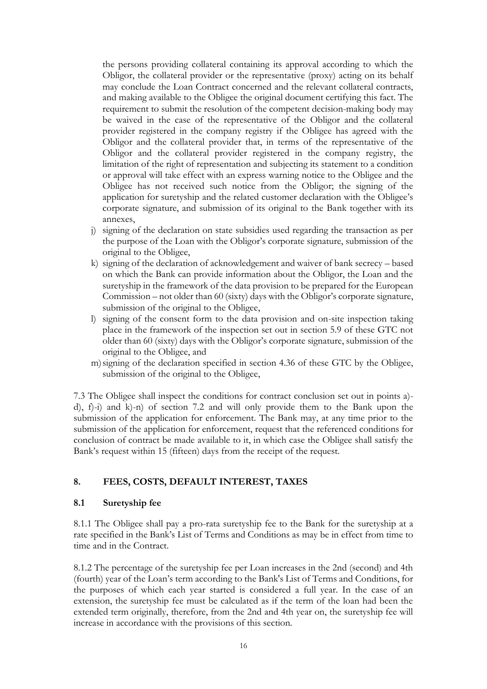the persons providing collateral containing its approval according to which the Obligor, the collateral provider or the representative (proxy) acting on its behalf may conclude the Loan Contract concerned and the relevant collateral contracts, and making available to the Obligee the original document certifying this fact. The requirement to submit the resolution of the competent decision-making body may be waived in the case of the representative of the Obligor and the collateral provider registered in the company registry if the Obligee has agreed with the Obligor and the collateral provider that, in terms of the representative of the Obligor and the collateral provider registered in the company registry, the limitation of the right of representation and subjecting its statement to a condition or approval will take effect with an express warning notice to the Obligee and the Obligee has not received such notice from the Obligor; the signing of the application for suretyship and the related customer declaration with the Obligee's corporate signature, and submission of its original to the Bank together with its annexes,

- j) signing of the declaration on state subsidies used regarding the transaction as per the purpose of the Loan with the Obligor's corporate signature, submission of the original to the Obligee,
- k) signing of the declaration of acknowledgement and waiver of bank secrecy based on which the Bank can provide information about the Obligor, the Loan and the suretyship in the framework of the data provision to be prepared for the European Commission – not older than 60 (sixty) days with the Obligor's corporate signature, submission of the original to the Obligee,
- l) signing of the consent form to the data provision and on-site inspection taking place in the framework of the inspection set out in section 5.9 of these GTC not older than 60 (sixty) days with the Obligor's corporate signature, submission of the original to the Obligee, and
- m)signing of the declaration specified in section 4.36 of these GTC by the Obligee, submission of the original to the Obligee,

7.3 The Obligee shall inspect the conditions for contract conclusion set out in points a) d), f)-i) and k)-n) of section 7.2 and will only provide them to the Bank upon the submission of the application for enforcement. The Bank may, at any time prior to the submission of the application for enforcement, request that the referenced conditions for conclusion of contract be made available to it, in which case the Obligee shall satisfy the Bank's request within 15 (fifteen) days from the receipt of the request.

### <span id="page-15-0"></span>**8. FEES, COSTS, DEFAULT INTEREST, TAXES**

#### <span id="page-15-1"></span>**8.1 Suretyship fee**

8.1.1 The Obligee shall pay a pro-rata suretyship fee to the Bank for the suretyship at a rate specified in the Bank's List of Terms and Conditions as may be in effect from time to time and in the Contract.

8.1.2 The percentage of the suretyship fee per Loan increases in the 2nd (second) and 4th (fourth) year of the Loan's term according to the Bank's List of Terms and Conditions, for the purposes of which each year started is considered a full year. In the case of an extension, the suretyship fee must be calculated as if the term of the loan had been the extended term originally, therefore, from the 2nd and 4th year on, the suretyship fee will increase in accordance with the provisions of this section.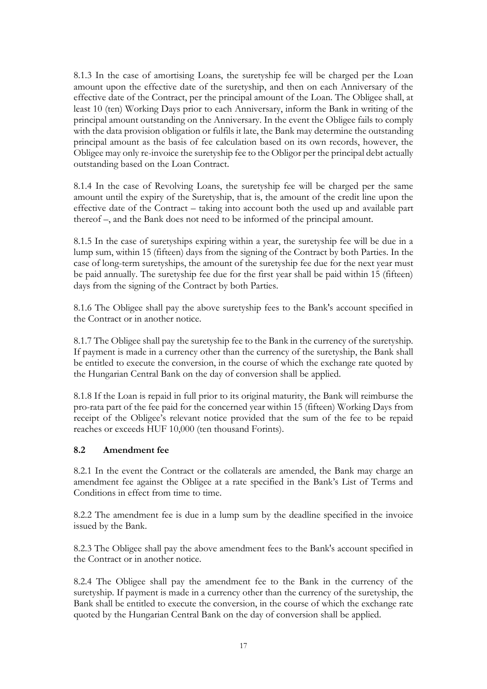8.1.3 In the case of amortising Loans, the suretyship fee will be charged per the Loan amount upon the effective date of the suretyship, and then on each Anniversary of the effective date of the Contract, per the principal amount of the Loan. The Obligee shall, at least 10 (ten) Working Days prior to each Anniversary, inform the Bank in writing of the principal amount outstanding on the Anniversary. In the event the Obligee fails to comply with the data provision obligation or fulfils it late, the Bank may determine the outstanding principal amount as the basis of fee calculation based on its own records, however, the Obligee may only re-invoice the suretyship fee to the Obligor per the principal debt actually outstanding based on the Loan Contract.

8.1.4 In the case of Revolving Loans, the suretyship fee will be charged per the same amount until the expiry of the Suretyship, that is, the amount of the credit line upon the effective date of the Contract – taking into account both the used up and available part thereof –, and the Bank does not need to be informed of the principal amount.

8.1.5 In the case of suretyships expiring within a year, the suretyship fee will be due in a lump sum, within 15 (fifteen) days from the signing of the Contract by both Parties. In the case of long-term suretyships, the amount of the suretyship fee due for the next year must be paid annually. The suretyship fee due for the first year shall be paid within 15 (fifteen) days from the signing of the Contract by both Parties.

8.1.6 The Obligee shall pay the above suretyship fees to the Bank's account specified in the Contract or in another notice.

8.1.7 The Obligee shall pay the suretyship fee to the Bank in the currency of the suretyship. If payment is made in a currency other than the currency of the suretyship, the Bank shall be entitled to execute the conversion, in the course of which the exchange rate quoted by the Hungarian Central Bank on the day of conversion shall be applied.

8.1.8 If the Loan is repaid in full prior to its original maturity, the Bank will reimburse the pro-rata part of the fee paid for the concerned year within 15 (fifteen) Working Days from receipt of the Obligee's relevant notice provided that the sum of the fee to be repaid reaches or exceeds HUF 10,000 (ten thousand Forints).

### <span id="page-16-0"></span>**8.2 Amendment fee**

8.2.1 In the event the Contract or the collaterals are amended, the Bank may charge an amendment fee against the Obligee at a rate specified in the Bank's List of Terms and Conditions in effect from time to time.

8.2.2 The amendment fee is due in a lump sum by the deadline specified in the invoice issued by the Bank.

8.2.3 The Obligee shall pay the above amendment fees to the Bank's account specified in the Contract or in another notice.

8.2.4 The Obligee shall pay the amendment fee to the Bank in the currency of the suretyship. If payment is made in a currency other than the currency of the suretyship, the Bank shall be entitled to execute the conversion, in the course of which the exchange rate quoted by the Hungarian Central Bank on the day of conversion shall be applied.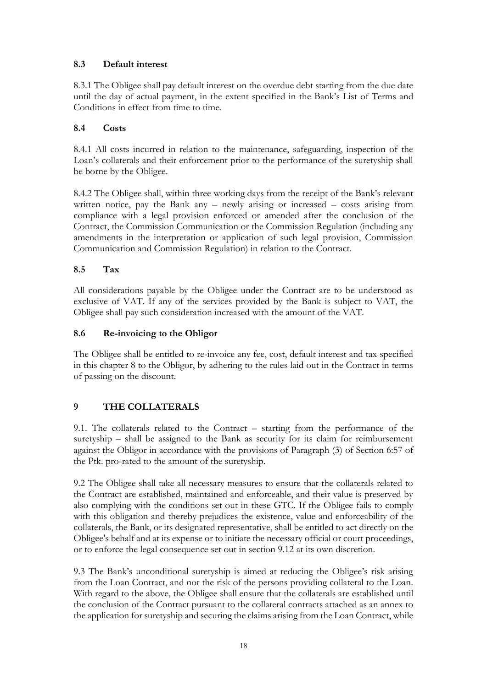# <span id="page-17-0"></span>**8.3 Default interest**

8.3.1 The Obligee shall pay default interest on the overdue debt starting from the due date until the day of actual payment, in the extent specified in the Bank's List of Terms and Conditions in effect from time to time.

## <span id="page-17-1"></span>**8.4 Costs**

8.4.1 All costs incurred in relation to the maintenance, safeguarding, inspection of the Loan's collaterals and their enforcement prior to the performance of the suretyship shall be borne by the Obligee.

8.4.2 The Obligee shall, within three working days from the receipt of the Bank's relevant written notice, pay the Bank any – newly arising or increased – costs arising from compliance with a legal provision enforced or amended after the conclusion of the Contract, the Commission Communication or the Commission Regulation (including any amendments in the interpretation or application of such legal provision, Commission Communication and Commission Regulation) in relation to the Contract.

## <span id="page-17-2"></span>**8.5 Tax**

All considerations payable by the Obligee under the Contract are to be understood as exclusive of VAT. If any of the services provided by the Bank is subject to VAT, the Obligee shall pay such consideration increased with the amount of the VAT.

## <span id="page-17-3"></span>**8.6 Re-invoicing to the Obligor**

The Obligee shall be entitled to re-invoice any fee, cost, default interest and tax specified in this chapter 8 to the Obligor, by adhering to the rules laid out in the Contract in terms of passing on the discount.

# <span id="page-17-4"></span>**9 THE COLLATERALS**

9.1. The collaterals related to the Contract – starting from the performance of the suretyship – shall be assigned to the Bank as security for its claim for reimbursement against the Obligor in accordance with the provisions of Paragraph (3) of Section 6:57 of the Ptk. pro-rated to the amount of the suretyship.

9.2 The Obligee shall take all necessary measures to ensure that the collaterals related to the Contract are established, maintained and enforceable, and their value is preserved by also complying with the conditions set out in these GTC. If the Obligee fails to comply with this obligation and thereby prejudices the existence, value and enforceability of the collaterals, the Bank, or its designated representative, shall be entitled to act directly on the Obligee's behalf and at its expense or to initiate the necessary official or court proceedings, or to enforce the legal consequence set out in section 9.12 at its own discretion.

9.3 The Bank's unconditional suretyship is aimed at reducing the Obligee's risk arising from the Loan Contract, and not the risk of the persons providing collateral to the Loan. With regard to the above, the Obligee shall ensure that the collaterals are established until the conclusion of the Contract pursuant to the collateral contracts attached as an annex to the application for suretyship and securing the claims arising from the Loan Contract, while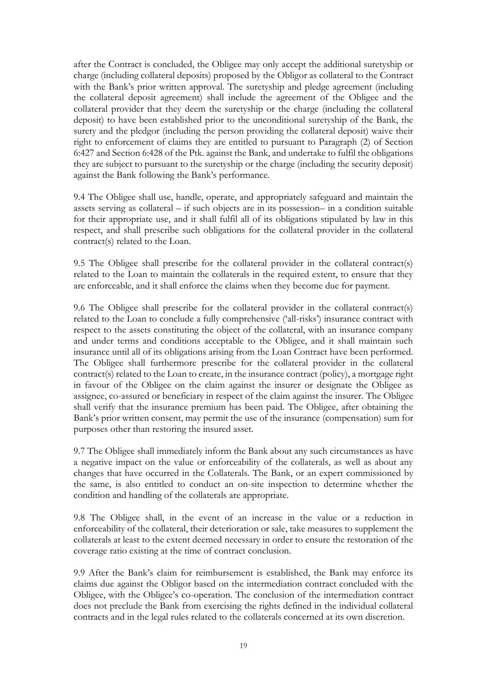after the Contract is concluded, the Obligee may only accept the additional suretyship or charge (including collateral deposits) proposed by the Obligor as collateral to the Contract with the Bank's prior written approval. The suretyship and pledge agreement (including the collateral deposit agreement) shall include the agreement of the Obligee and the collateral provider that they deem the suretyship or the charge (including the collateral deposit) to have been established prior to the unconditional suretyship of the Bank, the surety and the pledgor (including the person providing the collateral deposit) waive their right to enforcement of claims they are entitled to pursuant to Paragraph (2) of Section 6:427 and Section 6:428 of the Ptk. against the Bank, and undertake to fulfil the obligations they are subject to pursuant to the suretyship or the charge (including the security deposit) against the Bank following the Bank's performance.

9.4 The Obligee shall use, handle, operate, and appropriately safeguard and maintain the assets serving as collateral – if such objects are in its possession– in a condition suitable for their appropriate use, and it shall fulfil all of its obligations stipulated by law in this respect, and shall prescribe such obligations for the collateral provider in the collateral contract(s) related to the Loan.

9.5 The Obligee shall prescribe for the collateral provider in the collateral contract(s) related to the Loan to maintain the collaterals in the required extent, to ensure that they are enforceable, and it shall enforce the claims when they become due for payment.

9.6 The Obligee shall prescribe for the collateral provider in the collateral contract(s) related to the Loan to conclude a fully comprehensive ('all-risks') insurance contract with respect to the assets constituting the object of the collateral, with an insurance company and under terms and conditions acceptable to the Obligee, and it shall maintain such insurance until all of its obligations arising from the Loan Contract have been performed. The Obligee shall furthermore prescribe for the collateral provider in the collateral contract(s) related to the Loan to create, in the insurance contract (policy), a mortgage right in favour of the Obligee on the claim against the insurer or designate the Obligee as assignee, co-assured or beneficiary in respect of the claim against the insurer. The Obligee shall verify that the insurance premium has been paid. The Obligee, after obtaining the Bank's prior written consent, may permit the use of the insurance (compensation) sum for purposes other than restoring the insured asset.

9.7 The Obligee shall immediately inform the Bank about any such circumstances as have a negative impact on the value or enforceability of the collaterals, as well as about any changes that have occurred in the Collaterals. The Bank, or an expert commissioned by the same, is also entitled to conduct an on-site inspection to determine whether the condition and handling of the collaterals are appropriate.

9.8 The Obligee shall, in the event of an increase in the value or a reduction in enforceability of the collateral, their deterioration or sale, take measures to supplement the collaterals at least to the extent deemed necessary in order to ensure the restoration of the coverage ratio existing at the time of contract conclusion.

9.9 After the Bank's claim for reimbursement is established, the Bank may enforce its claims due against the Obligor based on the intermediation contract concluded with the Obligee, with the Obligee's co-operation. The conclusion of the intermediation contract does not preclude the Bank from exercising the rights defined in the individual collateral contracts and in the legal rules related to the collaterals concerned at its own discretion.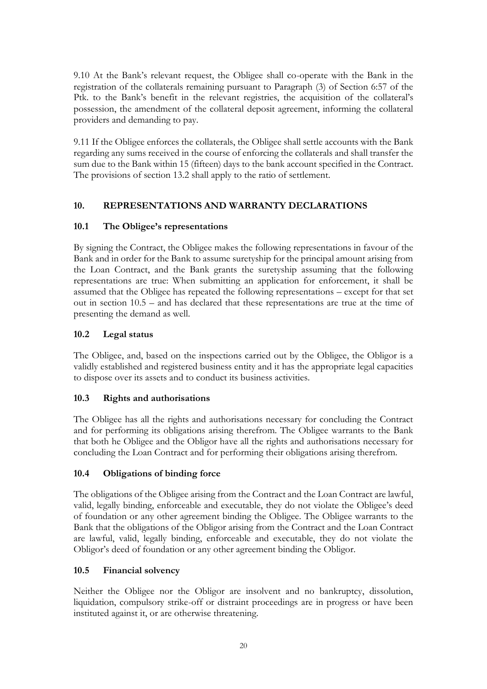9.10 At the Bank's relevant request, the Obligee shall co-operate with the Bank in the registration of the collaterals remaining pursuant to Paragraph (3) of Section 6:57 of the Ptk. to the Bank's benefit in the relevant registries, the acquisition of the collateral's possession, the amendment of the collateral deposit agreement, informing the collateral providers and demanding to pay.

9.11 If the Obligee enforces the collaterals, the Obligee shall settle accounts with the Bank regarding any sums received in the course of enforcing the collaterals and shall transfer the sum due to the Bank within 15 (fifteen) days to the bank account specified in the Contract. The provisions of section 13.2 shall apply to the ratio of settlement.

## <span id="page-19-0"></span>**10. REPRESENTATIONS AND WARRANTY DECLARATIONS**

### <span id="page-19-1"></span>**10.1 The Obligee's representations**

By signing the Contract, the Obligee makes the following representations in favour of the Bank and in order for the Bank to assume suretyship for the principal amount arising from the Loan Contract, and the Bank grants the suretyship assuming that the following representations are true: When submitting an application for enforcement, it shall be assumed that the Obligee has repeated the following representations – except for that set out in section 10.5 – and has declared that these representations are true at the time of presenting the demand as well.

### <span id="page-19-2"></span>**10.2 Legal status**

The Obligee, and, based on the inspections carried out by the Obligee, the Obligor is a validly established and registered business entity and it has the appropriate legal capacities to dispose over its assets and to conduct its business activities.

### <span id="page-19-3"></span>**10.3 Rights and authorisations**

The Obligee has all the rights and authorisations necessary for concluding the Contract and for performing its obligations arising therefrom. The Obligee warrants to the Bank that both he Obligee and the Obligor have all the rights and authorisations necessary for concluding the Loan Contract and for performing their obligations arising therefrom.

### <span id="page-19-4"></span>**10.4 Obligations of binding force**

The obligations of the Obligee arising from the Contract and the Loan Contract are lawful, valid, legally binding, enforceable and executable, they do not violate the Obligee's deed of foundation or any other agreement binding the Obligee. The Obligee warrants to the Bank that the obligations of the Obligor arising from the Contract and the Loan Contract are lawful, valid, legally binding, enforceable and executable, they do not violate the Obligor's deed of foundation or any other agreement binding the Obligor.

### <span id="page-19-5"></span>**10.5 Financial solvency**

Neither the Obligee nor the Obligor are insolvent and no bankruptcy, dissolution, liquidation, compulsory strike-off or distraint proceedings are in progress or have been instituted against it, or are otherwise threatening.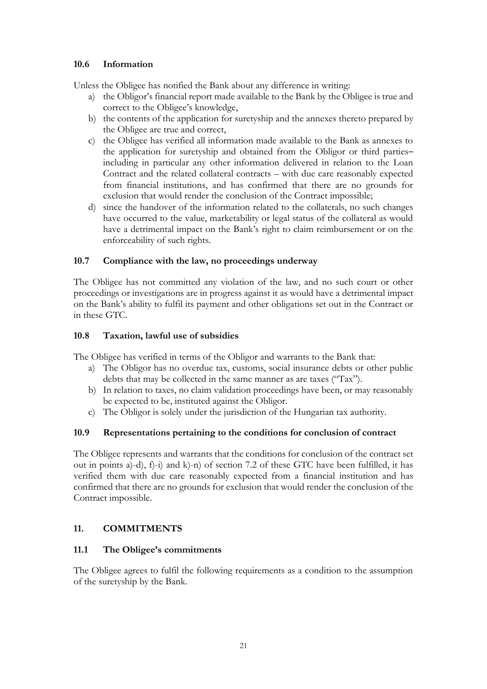### <span id="page-20-0"></span>**10.6 Information**

Unless the Obligee has notified the Bank about any difference in writing:

- a) the Obligor's financial report made available to the Bank by the Obligee is true and correct to the Obligee's knowledge,
- b) the contents of the application for suretyship and the annexes thereto prepared by the Obligee are true and correct,
- c) the Obligee has verified all information made available to the Bank as annexes to the application for suretyship and obtained from the Obligor or third parties– including in particular any other information delivered in relation to the Loan Contract and the related collateral contracts – with due care reasonably expected from financial institutions, and has confirmed that there are no grounds for exclusion that would render the conclusion of the Contract impossible;
- d) since the handover of the information related to the collaterals, no such changes have occurred to the value, marketability or legal status of the collateral as would have a detrimental impact on the Bank's right to claim reimbursement or on the enforceability of such rights.

### <span id="page-20-1"></span>**10.7 Compliance with the law, no proceedings underway**

The Obligee has not committed any violation of the law, and no such court or other proceedings or investigations are in progress against it as would have a detrimental impact on the Bank's ability to fulfil its payment and other obligations set out in the Contract or in these GTC.

### <span id="page-20-2"></span>**10.8 Taxation, lawful use of subsidies**

The Obligee has verified in terms of the Obligor and warrants to the Bank that:

- a) The Obligor has no overdue tax, customs, social insurance debts or other public debts that may be collected in the same manner as are taxes ("Tax").
- b) In relation to taxes, no claim validation proceedings have been, or may reasonably be expected to be, instituted against the Obligor.
- c) The Obligor is solely under the jurisdiction of the Hungarian tax authority.

### <span id="page-20-3"></span>**10.9 Representations pertaining to the conditions for conclusion of contract**

The Obligee represents and warrants that the conditions for conclusion of the contract set out in points a)-d), f)-i) and k)-n) of section 7.2 of these GTC have been fulfilled, it has verified them with due care reasonably expected from a financial institution and has confirmed that there are no grounds for exclusion that would render the conclusion of the Contract impossible.

## <span id="page-20-4"></span>**11. COMMITMENTS**

### <span id="page-20-5"></span>**11.1 The Obligee's commitments**

The Obligee agrees to fulfil the following requirements as a condition to the assumption of the suretyship by the Bank.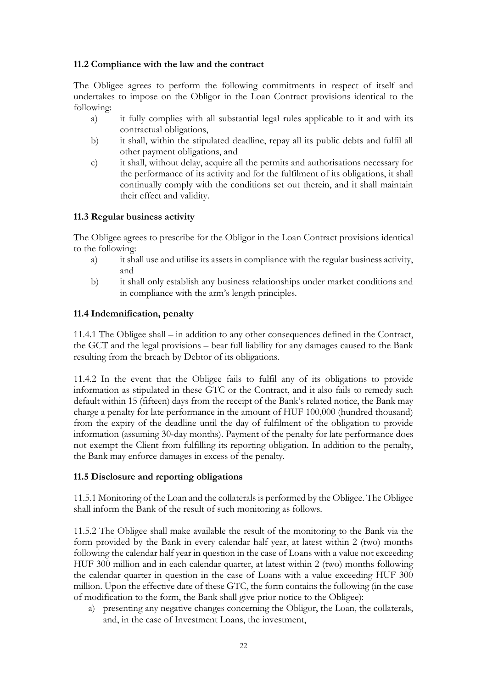### <span id="page-21-0"></span>**11.2 Compliance with the law and the contract**

The Obligee agrees to perform the following commitments in respect of itself and undertakes to impose on the Obligor in the Loan Contract provisions identical to the following:

- a) it fully complies with all substantial legal rules applicable to it and with its contractual obligations,
- b) it shall, within the stipulated deadline, repay all its public debts and fulfil all other payment obligations, and
- c) it shall, without delay, acquire all the permits and authorisations necessary for the performance of its activity and for the fulfilment of its obligations, it shall continually comply with the conditions set out therein, and it shall maintain their effect and validity.

## <span id="page-21-1"></span>**11.3 Regular business activity**

The Obligee agrees to prescribe for the Obligor in the Loan Contract provisions identical to the following:

- a) it shall use and utilise its assets in compliance with the regular business activity, and
- b) it shall only establish any business relationships under market conditions and in compliance with the arm's length principles.

### <span id="page-21-2"></span>**11.4 Indemnification, penalty**

11.4.1 The Obligee shall – in addition to any other consequences defined in the Contract, the GCT and the legal provisions – bear full liability for any damages caused to the Bank resulting from the breach by Debtor of its obligations.

11.4.2 In the event that the Obligee fails to fulfil any of its obligations to provide information as stipulated in these GTC or the Contract, and it also fails to remedy such default within 15 (fifteen) days from the receipt of the Bank's related notice, the Bank may charge a penalty for late performance in the amount of HUF 100,000 (hundred thousand) from the expiry of the deadline until the day of fulfilment of the obligation to provide information (assuming 30-day months). Payment of the penalty for late performance does not exempt the Client from fulfilling its reporting obligation. In addition to the penalty, the Bank may enforce damages in excess of the penalty.

### <span id="page-21-3"></span>**11.5 Disclosure and reporting obligations**

11.5.1 Monitoring of the Loan and the collaterals is performed by the Obligee. The Obligee shall inform the Bank of the result of such monitoring as follows.

11.5.2 The Obligee shall make available the result of the monitoring to the Bank via the form provided by the Bank in every calendar half year, at latest within 2 (two) months following the calendar half year in question in the case of Loans with a value not exceeding HUF 300 million and in each calendar quarter, at latest within 2 (two) months following the calendar quarter in question in the case of Loans with a value exceeding HUF 300 million. Upon the effective date of these GTC, the form contains the following (in the case of modification to the form, the Bank shall give prior notice to the Obligee):

a) presenting any negative changes concerning the Obligor, the Loan, the collaterals, and, in the case of Investment Loans, the investment,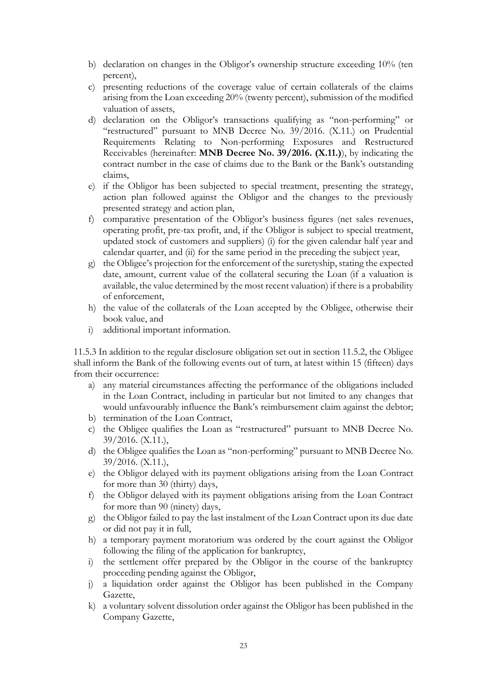- b) declaration on changes in the Obligor's ownership structure exceeding 10% (ten percent),
- c) presenting reductions of the coverage value of certain collaterals of the claims arising from the Loan exceeding 20% (twenty percent), submission of the modified valuation of assets,
- d) declaration on the Obligor's transactions qualifying as "non-performing" or "restructured" pursuant to MNB Decree No. 39/2016. (X.11.) on Prudential Requirements Relating to Non-performing Exposures and Restructured Receivables (hereinafter: **MNB Decree No. 39/2016. (X.11.)**), by indicating the contract number in the case of claims due to the Bank or the Bank's outstanding claims,
- e) if the Obligor has been subjected to special treatment, presenting the strategy, action plan followed against the Obligor and the changes to the previously presented strategy and action plan,
- f) comparative presentation of the Obligor's business figures (net sales revenues, operating profit, pre-tax profit, and, if the Obligor is subject to special treatment, updated stock of customers and suppliers) (i) for the given calendar half year and calendar quarter, and (ii) for the same period in the preceding the subject year,
- g) the Obligee's projection for the enforcement of the suretyship, stating the expected date, amount, current value of the collateral securing the Loan (if a valuation is available, the value determined by the most recent valuation) if there is a probability of enforcement,
- h) the value of the collaterals of the Loan accepted by the Obligee, otherwise their book value, and
- i) additional important information.

11.5.3 In addition to the regular disclosure obligation set out in section 11.5.2, the Obligee shall inform the Bank of the following events out of turn, at latest within 15 (fifteen) days from their occurrence:

- a) any material circumstances affecting the performance of the obligations included in the Loan Contract, including in particular but not limited to any changes that would unfavourably influence the Bank's reimbursement claim against the debtor;
- b) termination of the Loan Contract,
- c) the Obligee qualifies the Loan as "restructured" pursuant to MNB Decree No. 39/2016. (X.11.),
- d) the Obligee qualifies the Loan as "non-performing" pursuant to MNB Decree No. 39/2016. (X.11.),
- e) the Obligor delayed with its payment obligations arising from the Loan Contract for more than 30 (thirty) days,
- f) the Obligor delayed with its payment obligations arising from the Loan Contract for more than 90 (ninety) days,
- g) the Obligor failed to pay the last instalment of the Loan Contract upon its due date or did not pay it in full,
- h) a temporary payment moratorium was ordered by the court against the Obligor following the filing of the application for bankruptcy,
- i) the settlement offer prepared by the Obligor in the course of the bankruptcy proceeding pending against the Obligor,
- j) a liquidation order against the Obligor has been published in the Company Gazette,
- k) a voluntary solvent dissolution order against the Obligor has been published in the Company Gazette,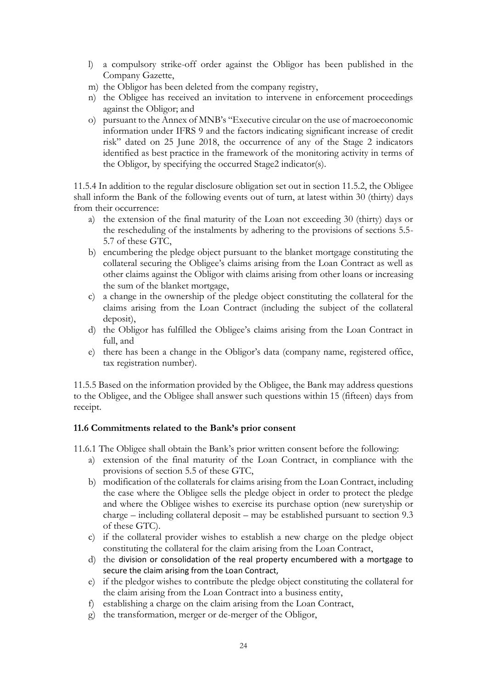- l) a compulsory strike-off order against the Obligor has been published in the Company Gazette,
- m) the Obligor has been deleted from the company registry,
- n) the Obligee has received an invitation to intervene in enforcement proceedings against the Obligor; and
- o) pursuant to the Annex of MNB's "Executive circular on the use of macroeconomic information under IFRS 9 and the factors indicating significant increase of credit risk" dated on 25 June 2018, the occurrence of any of the Stage 2 indicators identified as best practice in the framework of the monitoring activity in terms of the Obligor, by specifying the occurred Stage2 indicator(s).

11.5.4 In addition to the regular disclosure obligation set out in section 11.5.2, the Obligee shall inform the Bank of the following events out of turn, at latest within 30 (thirty) days from their occurrence:

- a) the extension of the final maturity of the Loan not exceeding 30 (thirty) days or the rescheduling of the instalments by adhering to the provisions of sections 5.5- 5.7 of these GTC,
- b) encumbering the pledge object pursuant to the blanket mortgage constituting the collateral securing the Obligee's claims arising from the Loan Contract as well as other claims against the Obligor with claims arising from other loans or increasing the sum of the blanket mortgage,
- c) a change in the ownership of the pledge object constituting the collateral for the claims arising from the Loan Contract (including the subject of the collateral deposit),
- d) the Obligor has fulfilled the Obligee's claims arising from the Loan Contract in full, and
- e) there has been a change in the Obligor's data (company name, registered office, tax registration number).

11.5.5 Based on the information provided by the Obligee, the Bank may address questions to the Obligee, and the Obligee shall answer such questions within 15 (fifteen) days from receipt.

### <span id="page-23-0"></span>**11.6 Commitments related to the Bank's prior consent**

11.6.1 The Obligee shall obtain the Bank's prior written consent before the following:

- a) extension of the final maturity of the Loan Contract, in compliance with the provisions of section 5.5 of these GTC,
- b) modification of the collaterals for claims arising from the Loan Contract, including the case where the Obligee sells the pledge object in order to protect the pledge and where the Obligee wishes to exercise its purchase option (new suretyship or charge – including collateral deposit – may be established pursuant to section 9.3 of these GTC).
- c) if the collateral provider wishes to establish a new charge on the pledge object constituting the collateral for the claim arising from the Loan Contract,
- d) the division or consolidation of the real property encumbered with a mortgage to secure the claim arising from the Loan Contract,
- e) if the pledgor wishes to contribute the pledge object constituting the collateral for the claim arising from the Loan Contract into a business entity,
- f) establishing a charge on the claim arising from the Loan Contract,
- g) the transformation, merger or de-merger of the Obligor,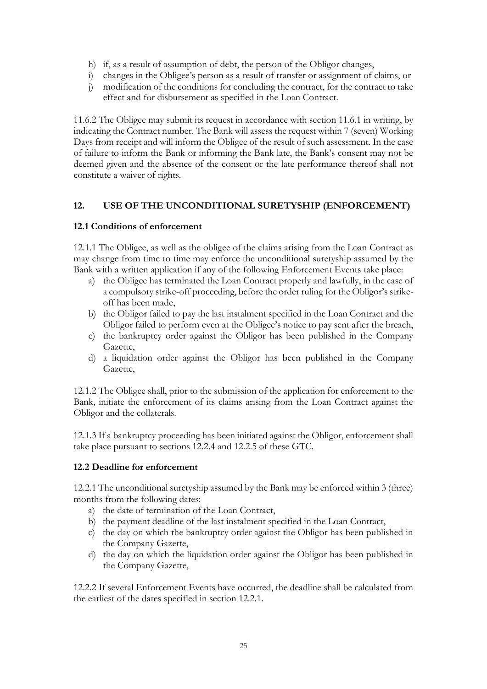- h) if, as a result of assumption of debt, the person of the Obligor changes,
- i) changes in the Obligee's person as a result of transfer or assignment of claims, or
- j) modification of the conditions for concluding the contract, for the contract to take effect and for disbursement as specified in the Loan Contract.

11.6.2 The Obligee may submit its request in accordance with section 11.6.1 in writing, by indicating the Contract number. The Bank will assess the request within 7 (seven) Working Days from receipt and will inform the Obligee of the result of such assessment. In the case of failure to inform the Bank or informing the Bank late, the Bank's consent may not be deemed given and the absence of the consent or the late performance thereof shall not constitute a waiver of rights.

## <span id="page-24-0"></span>**12. USE OF THE UNCONDITIONAL SURETYSHIP (ENFORCEMENT)**

### <span id="page-24-1"></span>**12.1 Conditions of enforcement**

12.1.1 The Obligee, as well as the obligee of the claims arising from the Loan Contract as may change from time to time may enforce the unconditional suretyship assumed by the Bank with a written application if any of the following Enforcement Events take place:

- a) the Obligee has terminated the Loan Contract properly and lawfully, in the case of a compulsory strike-off proceeding, before the order ruling for the Obligor's strikeoff has been made,
- b) the Obligor failed to pay the last instalment specified in the Loan Contract and the Obligor failed to perform even at the Obligee's notice to pay sent after the breach,
- c) the bankruptcy order against the Obligor has been published in the Company Gazette,
- d) a liquidation order against the Obligor has been published in the Company Gazette,

12.1.2 The Obligee shall, prior to the submission of the application for enforcement to the Bank, initiate the enforcement of its claims arising from the Loan Contract against the Obligor and the collaterals.

12.1.3 If a bankruptcy proceeding has been initiated against the Obligor, enforcement shall take place pursuant to sections 12.2.4 and 12.2.5 of these GTC.

### <span id="page-24-2"></span>**12.2 Deadline for enforcement**

12.2.1 The unconditional suretyship assumed by the Bank may be enforced within 3 (three) months from the following dates:

- a) the date of termination of the Loan Contract,
- b) the payment deadline of the last instalment specified in the Loan Contract,
- c) the day on which the bankruptcy order against the Obligor has been published in the Company Gazette,
- d) the day on which the liquidation order against the Obligor has been published in the Company Gazette,

12.2.2 If several Enforcement Events have occurred, the deadline shall be calculated from the earliest of the dates specified in section 12.2.1.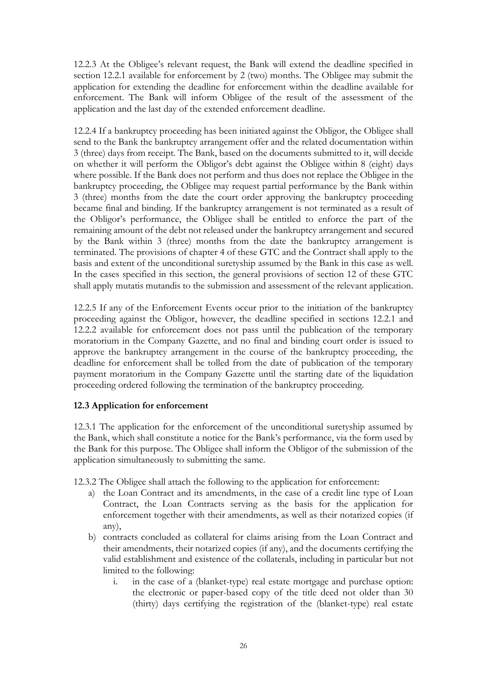12.2.3 At the Obligee's relevant request, the Bank will extend the deadline specified in section 12.2.1 available for enforcement by 2 (two) months. The Obligee may submit the application for extending the deadline for enforcement within the deadline available for enforcement. The Bank will inform Obligee of the result of the assessment of the application and the last day of the extended enforcement deadline.

12.2.4 If a bankruptcy proceeding has been initiated against the Obligor, the Obligee shall send to the Bank the bankruptcy arrangement offer and the related documentation within 3 (three) days from receipt. The Bank, based on the documents submitted to it, will decide on whether it will perform the Obligor's debt against the Obligee within 8 (eight) days where possible. If the Bank does not perform and thus does not replace the Obligee in the bankruptcy proceeding, the Obligee may request partial performance by the Bank within 3 (three) months from the date the court order approving the bankruptcy proceeding became final and binding. If the bankruptcy arrangement is not terminated as a result of the Obligor's performance, the Obligee shall be entitled to enforce the part of the remaining amount of the debt not released under the bankruptcy arrangement and secured by the Bank within 3 (three) months from the date the bankruptcy arrangement is terminated. The provisions of chapter 4 of these GTC and the Contract shall apply to the basis and extent of the unconditional suretyship assumed by the Bank in this case as well. In the cases specified in this section, the general provisions of section 12 of these GTC shall apply mutatis mutandis to the submission and assessment of the relevant application.

12.2.5 If any of the Enforcement Events occur prior to the initiation of the bankruptcy proceeding against the Obligor, however, the deadline specified in sections 12.2.1 and 12.2.2 available for enforcement does not pass until the publication of the temporary moratorium in the Company Gazette, and no final and binding court order is issued to approve the bankruptcy arrangement in the course of the bankruptcy proceeding, the deadline for enforcement shall be tolled from the date of publication of the temporary payment moratorium in the Company Gazette until the starting date of the liquidation proceeding ordered following the termination of the bankruptcy proceeding.

### <span id="page-25-0"></span>**12.3 Application for enforcement**

12.3.1 The application for the enforcement of the unconditional suretyship assumed by the Bank, which shall constitute a notice for the Bank's performance, via the form used by the Bank for this purpose. The Obligee shall inform the Obligor of the submission of the application simultaneously to submitting the same.

12.3.2 The Obligee shall attach the following to the application for enforcement:

- a) the Loan Contract and its amendments, in the case of a credit line type of Loan Contract, the Loan Contracts serving as the basis for the application for enforcement together with their amendments, as well as their notarized copies (if any),
- b) contracts concluded as collateral for claims arising from the Loan Contract and their amendments, their notarized copies (if any), and the documents certifying the valid establishment and existence of the collaterals, including in particular but not limited to the following:
	- i. in the case of a (blanket-type) real estate mortgage and purchase option: the electronic or paper-based copy of the title deed not older than 30 (thirty) days certifying the registration of the (blanket-type) real estate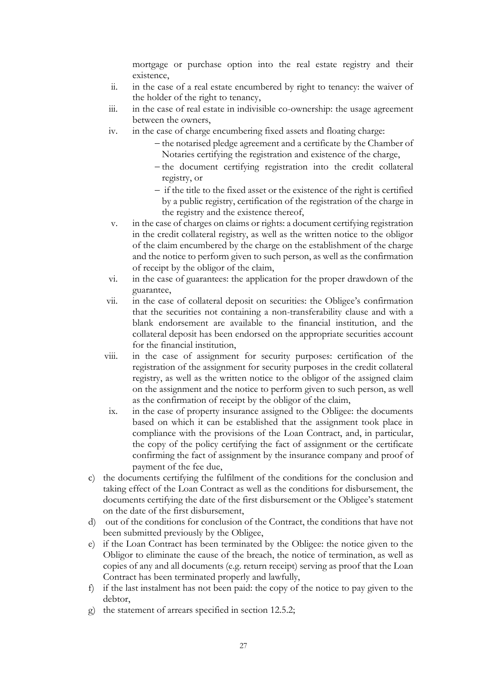mortgage or purchase option into the real estate registry and their existence,

- ii. in the case of a real estate encumbered by right to tenancy: the waiver of the holder of the right to tenancy,
- iii. in the case of real estate in indivisible co-ownership: the usage agreement between the owners,
- iv. in the case of charge encumbering fixed assets and floating charge:
	- − the notarised pledge agreement and a certificate by the Chamber of Notaries certifying the registration and existence of the charge,
	- − the document certifying registration into the credit collateral registry, or
	- − if the title to the fixed asset or the existence of the right is certified by a public registry, certification of the registration of the charge in the registry and the existence thereof,
- v. in the case of charges on claims or rights: a document certifying registration in the credit collateral registry, as well as the written notice to the obligor of the claim encumbered by the charge on the establishment of the charge and the notice to perform given to such person, as well as the confirmation of receipt by the obligor of the claim,
- vi. in the case of guarantees: the application for the proper drawdown of the guarantee,
- vii. in the case of collateral deposit on securities: the Obligee's confirmation that the securities not containing a non-transferability clause and with a blank endorsement are available to the financial institution, and the collateral deposit has been endorsed on the appropriate securities account for the financial institution,
- viii. in the case of assignment for security purposes: certification of the registration of the assignment for security purposes in the credit collateral registry, as well as the written notice to the obligor of the assigned claim on the assignment and the notice to perform given to such person, as well as the confirmation of receipt by the obligor of the claim,
- ix. in the case of property insurance assigned to the Obligee: the documents based on which it can be established that the assignment took place in compliance with the provisions of the Loan Contract, and, in particular, the copy of the policy certifying the fact of assignment or the certificate confirming the fact of assignment by the insurance company and proof of payment of the fee due,
- c) the documents certifying the fulfilment of the conditions for the conclusion and taking effect of the Loan Contract as well as the conditions for disbursement, the documents certifying the date of the first disbursement or the Obligee's statement on the date of the first disbursement,
- d) out of the conditions for conclusion of the Contract, the conditions that have not been submitted previously by the Obligee,
- e) if the Loan Contract has been terminated by the Obligee: the notice given to the Obligor to eliminate the cause of the breach, the notice of termination, as well as copies of any and all documents (e.g. return receipt) serving as proof that the Loan Contract has been terminated properly and lawfully,
- f) if the last instalment has not been paid: the copy of the notice to pay given to the debtor,
- g) the statement of arrears specified in section 12.5.2;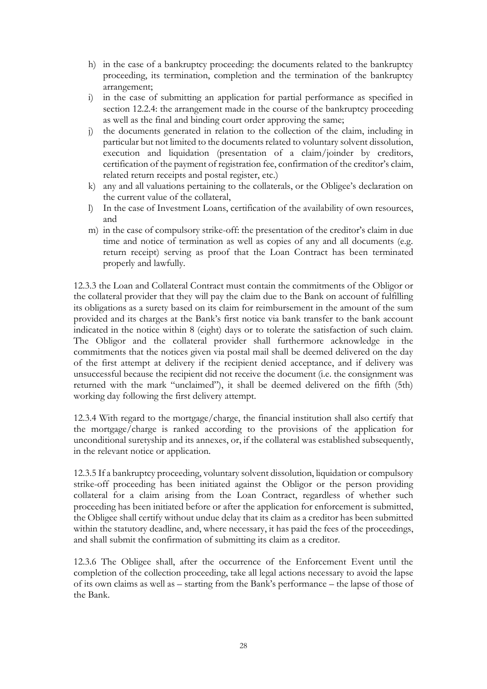- h) in the case of a bankruptcy proceeding: the documents related to the bankruptcy proceeding, its termination, completion and the termination of the bankruptcy arrangement;
- i) in the case of submitting an application for partial performance as specified in section 12.2.4: the arrangement made in the course of the bankruptcy proceeding as well as the final and binding court order approving the same;
- j) the documents generated in relation to the collection of the claim, including in particular but not limited to the documents related to voluntary solvent dissolution, execution and liquidation (presentation of a claim/joinder by creditors, certification of the payment of registration fee, confirmation of the creditor's claim, related return receipts and postal register, etc.)
- k) any and all valuations pertaining to the collaterals, or the Obligee's declaration on the current value of the collateral,
- l) In the case of Investment Loans, certification of the availability of own resources, and
- m) in the case of compulsory strike-off: the presentation of the creditor's claim in due time and notice of termination as well as copies of any and all documents (e.g. return receipt) serving as proof that the Loan Contract has been terminated properly and lawfully.

12.3.3 the Loan and Collateral Contract must contain the commitments of the Obligor or the collateral provider that they will pay the claim due to the Bank on account of fulfilling its obligations as a surety based on its claim for reimbursement in the amount of the sum provided and its charges at the Bank's first notice via bank transfer to the bank account indicated in the notice within 8 (eight) days or to tolerate the satisfaction of such claim. The Obligor and the collateral provider shall furthermore acknowledge in the commitments that the notices given via postal mail shall be deemed delivered on the day of the first attempt at delivery if the recipient denied acceptance, and if delivery was unsuccessful because the recipient did not receive the document (i.e. the consignment was returned with the mark "unclaimed"), it shall be deemed delivered on the fifth (5th) working day following the first delivery attempt.

12.3.4 With regard to the mortgage/charge, the financial institution shall also certify that the mortgage/charge is ranked according to the provisions of the application for unconditional suretyship and its annexes, or, if the collateral was established subsequently, in the relevant notice or application.

12.3.5 If a bankruptcy proceeding, voluntary solvent dissolution, liquidation or compulsory strike-off proceeding has been initiated against the Obligor or the person providing collateral for a claim arising from the Loan Contract, regardless of whether such proceeding has been initiated before or after the application for enforcement is submitted, the Obligee shall certify without undue delay that its claim as a creditor has been submitted within the statutory deadline, and, where necessary, it has paid the fees of the proceedings, and shall submit the confirmation of submitting its claim as a creditor.

12.3.6 The Obligee shall, after the occurrence of the Enforcement Event until the completion of the collection proceeding, take all legal actions necessary to avoid the lapse of its own claims as well as – starting from the Bank's performance – the lapse of those of the Bank.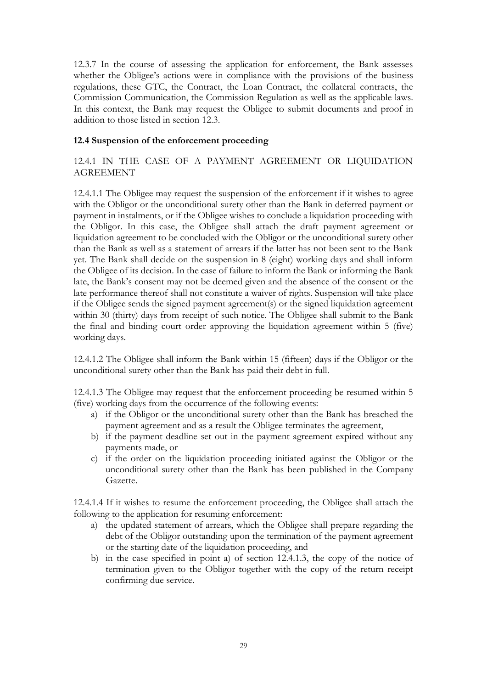12.3.7 In the course of assessing the application for enforcement, the Bank assesses whether the Obligee's actions were in compliance with the provisions of the business regulations, these GTC, the Contract, the Loan Contract, the collateral contracts, the Commission Communication, the Commission Regulation as well as the applicable laws. In this context, the Bank may request the Obligee to submit documents and proof in addition to those listed in section 12.3.

### <span id="page-28-0"></span>**12.4 Suspension of the enforcement proceeding**

<span id="page-28-1"></span>12.4.1 IN THE CASE OF A PAYMENT AGREEMENT OR LIQUIDATION AGREEMENT

12.4.1.1 The Obligee may request the suspension of the enforcement if it wishes to agree with the Obligor or the unconditional surety other than the Bank in deferred payment or payment in instalments, or if the Obligee wishes to conclude a liquidation proceeding with the Obligor. In this case, the Obligee shall attach the draft payment agreement or liquidation agreement to be concluded with the Obligor or the unconditional surety other than the Bank as well as a statement of arrears if the latter has not been sent to the Bank yet. The Bank shall decide on the suspension in 8 (eight) working days and shall inform the Obligee of its decision. In the case of failure to inform the Bank or informing the Bank late, the Bank's consent may not be deemed given and the absence of the consent or the late performance thereof shall not constitute a waiver of rights. Suspension will take place if the Obligee sends the signed payment agreement(s) or the signed liquidation agreement within 30 (thirty) days from receipt of such notice. The Obligee shall submit to the Bank the final and binding court order approving the liquidation agreement within 5 (five) working days.

12.4.1.2 The Obligee shall inform the Bank within 15 (fifteen) days if the Obligor or the unconditional surety other than the Bank has paid their debt in full.

12.4.1.3 The Obligee may request that the enforcement proceeding be resumed within 5 (five) working days from the occurrence of the following events:

- a) if the Obligor or the unconditional surety other than the Bank has breached the payment agreement and as a result the Obligee terminates the agreement,
- b) if the payment deadline set out in the payment agreement expired without any payments made, or
- c) if the order on the liquidation proceeding initiated against the Obligor or the unconditional surety other than the Bank has been published in the Company Gazette.

12.4.1.4 If it wishes to resume the enforcement proceeding, the Obligee shall attach the following to the application for resuming enforcement:

- a) the updated statement of arrears, which the Obligee shall prepare regarding the debt of the Obligor outstanding upon the termination of the payment agreement or the starting date of the liquidation proceeding, and
- b) in the case specified in point a) of section 12.4.1.3, the copy of the notice of termination given to the Obligor together with the copy of the return receipt confirming due service.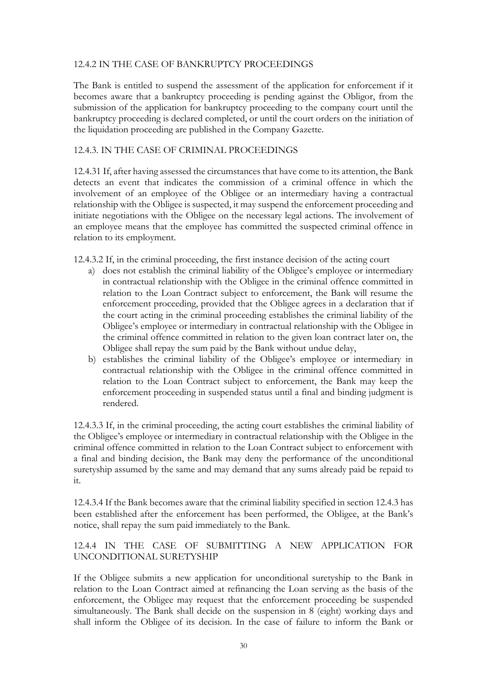#### <span id="page-29-0"></span>12.4.2 IN THE CASE OF BANKRUPTCY PROCEEDINGS

The Bank is entitled to suspend the assessment of the application for enforcement if it becomes aware that a bankruptcy proceeding is pending against the Obligor, from the submission of the application for bankruptcy proceeding to the company court until the bankruptcy proceeding is declared completed, or until the court orders on the initiation of the liquidation proceeding are published in the Company Gazette.

#### <span id="page-29-1"></span>12.4.3. IN THE CASE OF CRIMINAL PROCEEDINGS

12.4.31 If, after having assessed the circumstances that have come to its attention, the Bank detects an event that indicates the commission of a criminal offence in which the involvement of an employee of the Obligee or an intermediary having a contractual relationship with the Obligee is suspected, it may suspend the enforcement proceeding and initiate negotiations with the Obligee on the necessary legal actions. The involvement of an employee means that the employee has committed the suspected criminal offence in relation to its employment.

12.4.3.2 If, in the criminal proceeding, the first instance decision of the acting court

- a) does not establish the criminal liability of the Obligee's employee or intermediary in contractual relationship with the Obligee in the criminal offence committed in relation to the Loan Contract subject to enforcement, the Bank will resume the enforcement proceeding, provided that the Obligee agrees in a declaration that if the court acting in the criminal proceeding establishes the criminal liability of the Obligee's employee or intermediary in contractual relationship with the Obligee in the criminal offence committed in relation to the given loan contract later on, the Obligee shall repay the sum paid by the Bank without undue delay,
- b) establishes the criminal liability of the Obligee's employee or intermediary in contractual relationship with the Obligee in the criminal offence committed in relation to the Loan Contract subject to enforcement, the Bank may keep the enforcement proceeding in suspended status until a final and binding judgment is rendered.

12.4.3.3 If, in the criminal proceeding, the acting court establishes the criminal liability of the Obligee's employee or intermediary in contractual relationship with the Obligee in the criminal offence committed in relation to the Loan Contract subject to enforcement with a final and binding decision, the Bank may deny the performance of the unconditional suretyship assumed by the same and may demand that any sums already paid be repaid to it.

12.4.3.4 If the Bank becomes aware that the criminal liability specified in section 12.4.3 has been established after the enforcement has been performed, the Obligee, at the Bank's notice, shall repay the sum paid immediately to the Bank.

<span id="page-29-2"></span>12.4.4 IN THE CASE OF SUBMITTING A NEW APPLICATION FOR UNCONDITIONAL SURETYSHIP

If the Obligee submits a new application for unconditional suretyship to the Bank in relation to the Loan Contract aimed at refinancing the Loan serving as the basis of the enforcement, the Obligee may request that the enforcement proceeding be suspended simultaneously. The Bank shall decide on the suspension in 8 (eight) working days and shall inform the Obligee of its decision. In the case of failure to inform the Bank or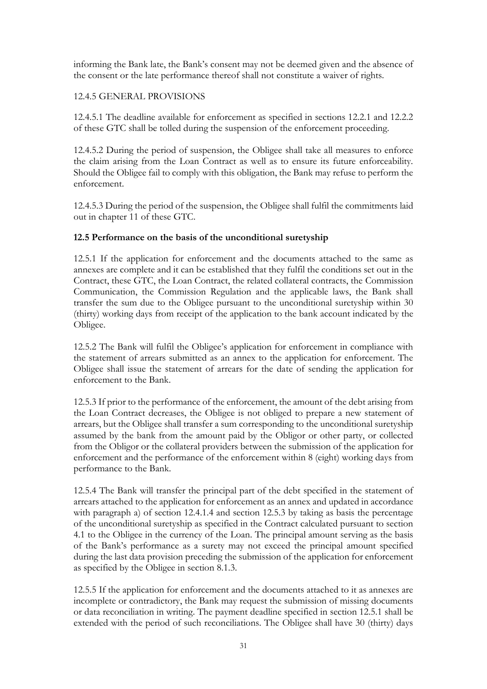informing the Bank late, the Bank's consent may not be deemed given and the absence of the consent or the late performance thereof shall not constitute a waiver of rights.

### <span id="page-30-0"></span>12.4.5 GENERAL PROVISIONS

12.4.5.1 The deadline available for enforcement as specified in sections 12.2.1 and 12.2.2 of these GTC shall be tolled during the suspension of the enforcement proceeding.

12.4.5.2 During the period of suspension, the Obligee shall take all measures to enforce the claim arising from the Loan Contract as well as to ensure its future enforceability. Should the Obligee fail to comply with this obligation, the Bank may refuse to perform the enforcement.

12.4.5.3 During the period of the suspension, the Obligee shall fulfil the commitments laid out in chapter 11 of these GTC.

### <span id="page-30-1"></span>**12.5 Performance on the basis of the unconditional suretyship**

12.5.1 If the application for enforcement and the documents attached to the same as annexes are complete and it can be established that they fulfil the conditions set out in the Contract, these GTC, the Loan Contract, the related collateral contracts, the Commission Communication, the Commission Regulation and the applicable laws, the Bank shall transfer the sum due to the Obligee pursuant to the unconditional suretyship within 30 (thirty) working days from receipt of the application to the bank account indicated by the Obligee.

12.5.2 The Bank will fulfil the Obligee's application for enforcement in compliance with the statement of arrears submitted as an annex to the application for enforcement. The Obligee shall issue the statement of arrears for the date of sending the application for enforcement to the Bank.

12.5.3 If prior to the performance of the enforcement, the amount of the debt arising from the Loan Contract decreases, the Obligee is not obliged to prepare a new statement of arrears, but the Obligee shall transfer a sum corresponding to the unconditional suretyship assumed by the bank from the amount paid by the Obligor or other party, or collected from the Obligor or the collateral providers between the submission of the application for enforcement and the performance of the enforcement within 8 (eight) working days from performance to the Bank.

12.5.4 The Bank will transfer the principal part of the debt specified in the statement of arrears attached to the application for enforcement as an annex and updated in accordance with paragraph a) of section 12.4.1.4 and section 12.5.3 by taking as basis the percentage of the unconditional suretyship as specified in the Contract calculated pursuant to section 4.1 to the Obligee in the currency of the Loan. The principal amount serving as the basis of the Bank's performance as a surety may not exceed the principal amount specified during the last data provision preceding the submission of the application for enforcement as specified by the Obligee in section 8.1.3.

12.5.5 If the application for enforcement and the documents attached to it as annexes are incomplete or contradictory, the Bank may request the submission of missing documents or data reconciliation in writing. The payment deadline specified in section 12.5.1 shall be extended with the period of such reconciliations. The Obligee shall have 30 (thirty) days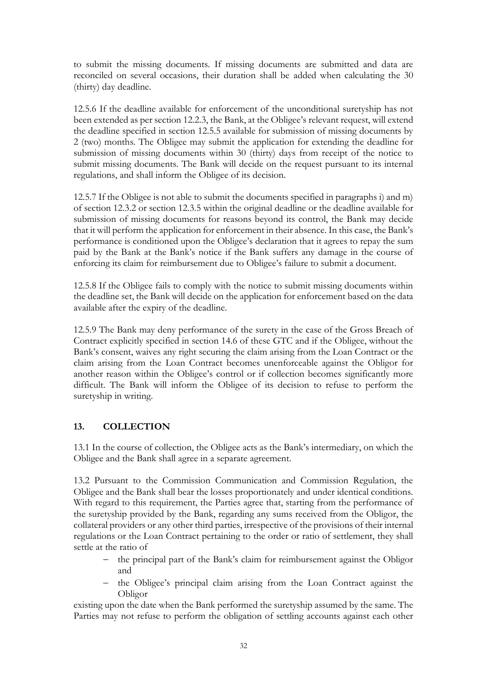to submit the missing documents. If missing documents are submitted and data are reconciled on several occasions, their duration shall be added when calculating the 30 (thirty) day deadline.

12.5.6 If the deadline available for enforcement of the unconditional suretyship has not been extended as per section 12.2.3, the Bank, at the Obligee's relevant request, will extend the deadline specified in section 12.5.5 available for submission of missing documents by 2 (two) months. The Obligee may submit the application for extending the deadline for submission of missing documents within 30 (thirty) days from receipt of the notice to submit missing documents. The Bank will decide on the request pursuant to its internal regulations, and shall inform the Obligee of its decision.

12.5.7 If the Obligee is not able to submit the documents specified in paragraphs i) and m) of section 12.3.2 or section 12.3.5 within the original deadline or the deadline available for submission of missing documents for reasons beyond its control, the Bank may decide that it will perform the application for enforcement in their absence. In this case, the Bank's performance is conditioned upon the Obligee's declaration that it agrees to repay the sum paid by the Bank at the Bank's notice if the Bank suffers any damage in the course of enforcing its claim for reimbursement due to Obligee's failure to submit a document.

12.5.8 If the Obligee fails to comply with the notice to submit missing documents within the deadline set, the Bank will decide on the application for enforcement based on the data available after the expiry of the deadline.

12.5.9 The Bank may deny performance of the surety in the case of the Gross Breach of Contract explicitly specified in section 14.6 of these GTC and if the Obligee, without the Bank's consent, waives any right securing the claim arising from the Loan Contract or the claim arising from the Loan Contract becomes unenforceable against the Obligor for another reason within the Obligee's control or if collection becomes significantly more difficult. The Bank will inform the Obligee of its decision to refuse to perform the suretyship in writing.

## <span id="page-31-0"></span>**13. COLLECTION**

13.1 In the course of collection, the Obligee acts as the Bank's intermediary, on which the Obligee and the Bank shall agree in a separate agreement.

13.2 Pursuant to the Commission Communication and Commission Regulation, the Obligee and the Bank shall bear the losses proportionately and under identical conditions. With regard to this requirement, the Parties agree that, starting from the performance of the suretyship provided by the Bank, regarding any sums received from the Obligor, the collateral providers or any other third parties, irrespective of the provisions of their internal regulations or the Loan Contract pertaining to the order or ratio of settlement, they shall settle at the ratio of

- the principal part of the Bank's claim for reimbursement against the Obligor and
- − the Obligee's principal claim arising from the Loan Contract against the Obligor

existing upon the date when the Bank performed the suretyship assumed by the same. The Parties may not refuse to perform the obligation of settling accounts against each other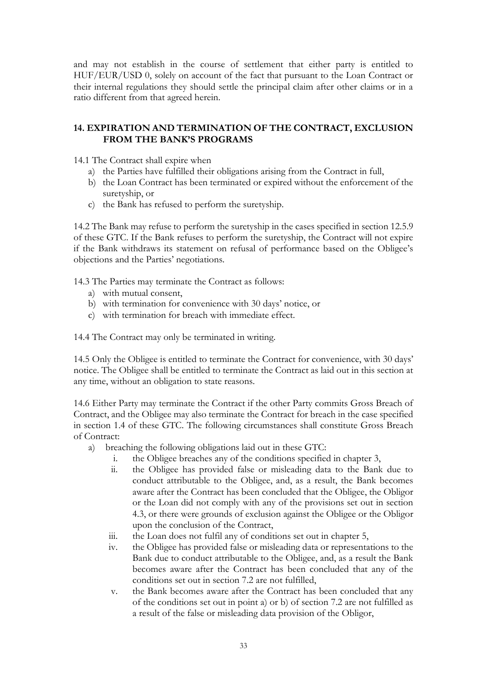and may not establish in the course of settlement that either party is entitled to HUF/EUR/USD 0, solely on account of the fact that pursuant to the Loan Contract or their internal regulations they should settle the principal claim after other claims or in a ratio different from that agreed herein.

## <span id="page-32-0"></span>**14. EXPIRATION AND TERMINATION OF THE CONTRACT, EXCLUSION FROM THE BANK'S PROGRAMS**

14.1 The Contract shall expire when

- a) the Parties have fulfilled their obligations arising from the Contract in full,
- b) the Loan Contract has been terminated or expired without the enforcement of the suretyship, or
- c) the Bank has refused to perform the suretyship.

14.2 The Bank may refuse to perform the suretyship in the cases specified in section 12.5.9 of these GTC. If the Bank refuses to perform the suretyship, the Contract will not expire if the Bank withdraws its statement on refusal of performance based on the Obligee's objections and the Parties' negotiations.

14.3 The Parties may terminate the Contract as follows:

- a) with mutual consent,
- b) with termination for convenience with 30 days' notice, or
- c) with termination for breach with immediate effect.

14.4 The Contract may only be terminated in writing.

14.5 Only the Obligee is entitled to terminate the Contract for convenience, with 30 days' notice. The Obligee shall be entitled to terminate the Contract as laid out in this section at any time, without an obligation to state reasons.

14.6 Either Party may terminate the Contract if the other Party commits Gross Breach of Contract, and the Obligee may also terminate the Contract for breach in the case specified in section 1.4 of these GTC. The following circumstances shall constitute Gross Breach of Contract:

- a) breaching the following obligations laid out in these GTC:
	- i. the Obligee breaches any of the conditions specified in chapter 3,
	- ii. the Obligee has provided false or misleading data to the Bank due to conduct attributable to the Obligee, and, as a result, the Bank becomes aware after the Contract has been concluded that the Obligee, the Obligor or the Loan did not comply with any of the provisions set out in section 4.3, or there were grounds of exclusion against the Obligee or the Obligor upon the conclusion of the Contract,
	- iii. the Loan does not fulfil any of conditions set out in chapter 5,
	- iv. the Obligee has provided false or misleading data or representations to the Bank due to conduct attributable to the Obligee, and, as a result the Bank becomes aware after the Contract has been concluded that any of the conditions set out in section 7.2 are not fulfilled,
	- v. the Bank becomes aware after the Contract has been concluded that any of the conditions set out in point a) or b) of section 7.2 are not fulfilled as a result of the false or misleading data provision of the Obligor,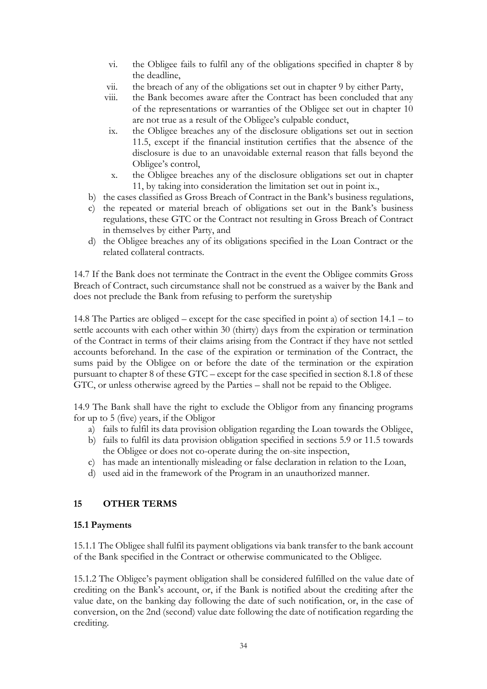- vi. the Obligee fails to fulfil any of the obligations specified in chapter 8 by the deadline,
- vii. the breach of any of the obligations set out in chapter 9 by either Party,
- viii. the Bank becomes aware after the Contract has been concluded that any of the representations or warranties of the Obligee set out in chapter 10 are not true as a result of the Obligee's culpable conduct,
	- ix. the Obligee breaches any of the disclosure obligations set out in section 11.5, except if the financial institution certifies that the absence of the disclosure is due to an unavoidable external reason that falls beyond the Obligee's control,
	- x. the Obligee breaches any of the disclosure obligations set out in chapter 11, by taking into consideration the limitation set out in point ix.,
- b) the cases classified as Gross Breach of Contract in the Bank's business regulations,
- c) the repeated or material breach of obligations set out in the Bank's business regulations, these GTC or the Contract not resulting in Gross Breach of Contract in themselves by either Party, and
- d) the Obligee breaches any of its obligations specified in the Loan Contract or the related collateral contracts.

14.7 If the Bank does not terminate the Contract in the event the Obligee commits Gross Breach of Contract, such circumstance shall not be construed as a waiver by the Bank and does not preclude the Bank from refusing to perform the suretyship

14.8 The Parties are obliged – except for the case specified in point a) of section 14.1 – to settle accounts with each other within 30 (thirty) days from the expiration or termination of the Contract in terms of their claims arising from the Contract if they have not settled accounts beforehand. In the case of the expiration or termination of the Contract, the sums paid by the Obligee on or before the date of the termination or the expiration pursuant to chapter 8 of these GTC – except for the case specified in section 8.1.8 of these GTC, or unless otherwise agreed by the Parties – shall not be repaid to the Obligee.

14.9 The Bank shall have the right to exclude the Obligor from any financing programs for up to 5 (five) years, if the Obligor

- a) fails to fulfil its data provision obligation regarding the Loan towards the Obligee,
- b) fails to fulfil its data provision obligation specified in sections 5.9 or 11.5 towards the Obligee or does not co-operate during the on-site inspection,
- c) has made an intentionally misleading or false declaration in relation to the Loan,
- d) used aid in the framework of the Program in an unauthorized manner.

### <span id="page-33-0"></span>**15 OTHER TERMS**

### <span id="page-33-1"></span>**15.1 Payments**

15.1.1 The Obligee shall fulfil its payment obligations via bank transfer to the bank account of the Bank specified in the Contract or otherwise communicated to the Obligee.

15.1.2 The Obligee's payment obligation shall be considered fulfilled on the value date of crediting on the Bank's account, or, if the Bank is notified about the crediting after the value date, on the banking day following the date of such notification, or, in the case of conversion, on the 2nd (second) value date following the date of notification regarding the crediting.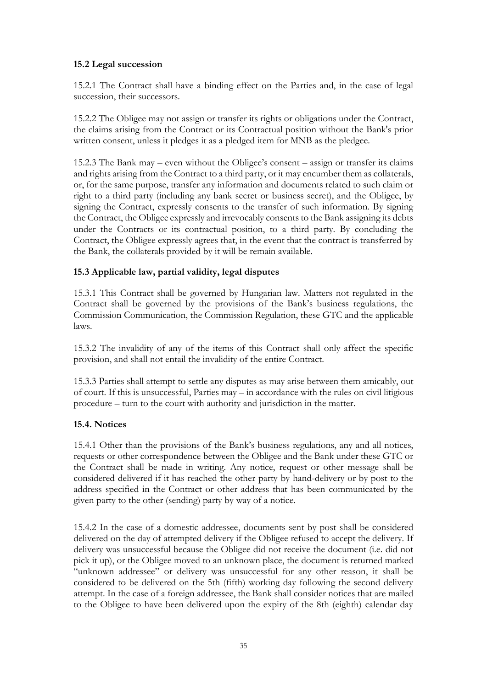## <span id="page-34-0"></span>**15.2 Legal succession**

15.2.1 The Contract shall have a binding effect on the Parties and, in the case of legal succession, their successors.

15.2.2 The Obligee may not assign or transfer its rights or obligations under the Contract, the claims arising from the Contract or its Contractual position without the Bank's prior written consent, unless it pledges it as a pledged item for MNB as the pledgee.

15.2.3 The Bank may – even without the Obligee's consent – assign or transfer its claims and rights arising from the Contract to a third party, or it may encumber them as collaterals, or, for the same purpose, transfer any information and documents related to such claim or right to a third party (including any bank secret or business secret), and the Obligee, by signing the Contract, expressly consents to the transfer of such information. By signing the Contract, the Obligee expressly and irrevocably consents to the Bank assigning its debts under the Contracts or its contractual position, to a third party. By concluding the Contract, the Obligee expressly agrees that, in the event that the contract is transferred by the Bank, the collaterals provided by it will be remain available.

### <span id="page-34-1"></span>**15.3 Applicable law, partial validity, legal disputes**

15.3.1 This Contract shall be governed by Hungarian law. Matters not regulated in the Contract shall be governed by the provisions of the Bank's business regulations, the Commission Communication, the Commission Regulation, these GTC and the applicable laws.

15.3.2 The invalidity of any of the items of this Contract shall only affect the specific provision, and shall not entail the invalidity of the entire Contract.

15.3.3 Parties shall attempt to settle any disputes as may arise between them amicably, out of court. If this is unsuccessful, Parties may – in accordance with the rules on civil litigious procedure – turn to the court with authority and jurisdiction in the matter.

### <span id="page-34-2"></span>**15.4. Notices**

15.4.1 Other than the provisions of the Bank's business regulations, any and all notices, requests or other correspondence between the Obligee and the Bank under these GTC or the Contract shall be made in writing. Any notice, request or other message shall be considered delivered if it has reached the other party by hand-delivery or by post to the address specified in the Contract or other address that has been communicated by the given party to the other (sending) party by way of a notice.

15.4.2 In the case of a domestic addressee, documents sent by post shall be considered delivered on the day of attempted delivery if the Obligee refused to accept the delivery. If delivery was unsuccessful because the Obligee did not receive the document (i.e. did not pick it up), or the Obligee moved to an unknown place, the document is returned marked "unknown addressee" or delivery was unsuccessful for any other reason, it shall be considered to be delivered on the 5th (fifth) working day following the second delivery attempt. In the case of a foreign addressee, the Bank shall consider notices that are mailed to the Obligee to have been delivered upon the expiry of the 8th (eighth) calendar day